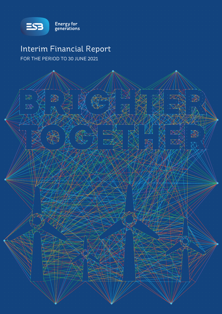

Energy for<br>generations

# Interim Financial Report FOR THE PERIOD TO 30 JUNE 2021

BREGIS RACE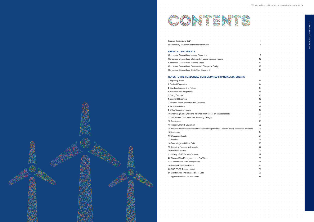|                                                                                                    | ESB Interim Financial Report for the period to 30 June 2021 3 |  |
|----------------------------------------------------------------------------------------------------|---------------------------------------------------------------|--|
|                                                                                                    |                                                               |  |
|                                                                                                    |                                                               |  |
|                                                                                                    |                                                               |  |
|                                                                                                    |                                                               |  |
|                                                                                                    |                                                               |  |
|                                                                                                    |                                                               |  |
|                                                                                                    |                                                               |  |
|                                                                                                    |                                                               |  |
| Finance Review June 2021                                                                           |                                                               |  |
| Responsibility Statement of the Board Members                                                      |                                                               |  |
|                                                                                                    |                                                               |  |
| <b>FINANCIAL STATEMENTS</b>                                                                        |                                                               |  |
| Condensed Consolidated Income Statement                                                            |                                                               |  |
| Condensed Consolidated Statement of Comprehensive Income                                           |                                                               |  |
| <b>Condensed Consolidated Balance Sheet</b>                                                        |                                                               |  |
| Condensed Consolidated Statement of Changes in Equity                                              | 12                                                            |  |
| Condensed Consolidated Cash Flow Statement                                                         |                                                               |  |
|                                                                                                    |                                                               |  |
| NOTES TO THE CONDENSED CONSOLIDATED FINANCIAL STAT                                                 |                                                               |  |
| 1 Reporting Entity                                                                                 |                                                               |  |
| 2 Basis of Preparation                                                                             |                                                               |  |
| 3 Significant Accounting Policies                                                                  |                                                               |  |
| 4 Estimates and Judgements                                                                         |                                                               |  |
| 5 Going Concern                                                                                    | 15                                                            |  |
| <b>6 Segment Reporting</b>                                                                         |                                                               |  |
| 7 Revenue from Contracts with Cu                                                                   | 18                                                            |  |
| 8 Exceptional Items                                                                                |                                                               |  |
| 9 Other Operating Income                                                                           | 19                                                            |  |
| 10 Operating Costs (including net impairment losses on financial assets)                           | 20                                                            |  |
| 11 Net Finance Cost and Other Financing Charges                                                    | 20                                                            |  |
| 12 Employees                                                                                       | 21                                                            |  |
| 13 Property, Plant & Equipment                                                                     | 22                                                            |  |
| 14 Financial Asset Investments at Fair Value through Profit or Loss and Equity Accounted Investees | 23                                                            |  |
| 15 Inventories                                                                                     | 24                                                            |  |
| 16 Changes in Equity                                                                               | 24                                                            |  |
| 17 Taxation                                                                                        | 24                                                            |  |
| 18 Borrowings and Other Debt                                                                       | 25                                                            |  |
| 19 Derivative Financial Instruments                                                                | 27                                                            |  |
| 20 Pension Liabilities                                                                             | 29                                                            |  |
| 21 Liability - ESB Pension Scheme                                                                  | 29                                                            |  |
| 22 Financial Risk Management and Fair Value                                                        | 30                                                            |  |
| 23 Commitments and Contingencies                                                                   | 35                                                            |  |
| 24 Related Party Transactions                                                                      | 35                                                            |  |
| 25 ESB ESOP Trustee Limited                                                                        | 36                                                            |  |
| 26 Events Since The Balance Sheet Date                                                             | 36                                                            |  |
| 27 Approval of Financial Statements                                                                | 36                                                            |  |
|                                                                                                    |                                                               |  |
|                                                                                                    |                                                               |  |
|                                                                                                    |                                                               |  |
|                                                                                                    |                                                               |  |
|                                                                                                    |                                                               |  |
|                                                                                                    |                                                               |  |
|                                                                                                    |                                                               |  |
|                                                                                                    |                                                               |  |
|                                                                                                    |                                                               |  |
|                                                                                                    |                                                               |  |

# INTERIM FINANCIAL REPORT INTERIM FINANCIAL REPORT



# Responsibility Statement of the Board Members 8

### FINANCIAL STATEMENTS

| 1 Reporting Entity                                                                                                                                                                                                                     | 14 |
|----------------------------------------------------------------------------------------------------------------------------------------------------------------------------------------------------------------------------------------|----|
| 2 Basis of Preparation                                                                                                                                                                                                                 | 14 |
| 3 Significant Accounting Policies                                                                                                                                                                                                      | 14 |
| 4 Estimates and Judgements                                                                                                                                                                                                             | 14 |
| 5 Going Concern                                                                                                                                                                                                                        | 15 |
| 6 Segment Reporting                                                                                                                                                                                                                    | 16 |
| <b>7</b> Revenue from Contracts with Customers                                                                                                                                                                                         | 18 |
| 8 Exceptional Items                                                                                                                                                                                                                    | 18 |
| <b>9 Other Operating Income</b>                                                                                                                                                                                                        | 19 |
| 10 Operating Costs (including net impairment losses on financial assets                                                                                                                                                                | 20 |
| 11 Net Finance Cost and Other Financing Charges                                                                                                                                                                                        | 20 |
| 12 Employees                                                                                                                                                                                                                           | 21 |
| 13 Property, Plant & Equipment                                                                                                                                                                                                         | 22 |
| 14 Financial Asset Investments at Fair Value through Profit or Loss and Equity Accounted Investees                                                                                                                                     | 23 |
| <b>15</b> Inventories                                                                                                                                                                                                                  | 24 |
| 16 Changes in Equity                                                                                                                                                                                                                   | 24 |
| 17 Taxation                                                                                                                                                                                                                            | 24 |
| <b>18 Borrowings and Other Debt</b>                                                                                                                                                                                                    | 25 |
| <b>19 Derivative Financial Instruments</b>                                                                                                                                                                                             | 27 |
| <b>20 Pension Liabilities</b>                                                                                                                                                                                                          | 29 |
| 21 Liability - ESB Pension Scheme                                                                                                                                                                                                      | 29 |
| 22 Financial Risk Management and Fair Value                                                                                                                                                                                            | 30 |
| 23 Commitments and Contingencies                                                                                                                                                                                                       | 35 |
| 24 Related Party Transactions                                                                                                                                                                                                          | 35 |
| 25 ESB ESOP Trustee Limited                                                                                                                                                                                                            | 36 |
| 26 Events Since The Balance Sheet Date                                                                                                                                                                                                 | 36 |
| 27 Approval of Financial Statements                                                                                                                                                                                                    | 36 |
|                                                                                                                                                                                                                                        |    |
|                                                                                                                                                                                                                                        |    |
|                                                                                                                                                                                                                                        |    |
|                                                                                                                                                                                                                                        |    |
|                                                                                                                                                                                                                                        |    |
| a car a car a car a car a car a car a car a car a car a car a car a car a car a car a car a car a car a car a                                                                                                                          |    |
| والمناول والمناول والمناول والمناول والمناول والمناول والمناول والمناول والمناول والمناول والمناول والمناول والمناول                                                                                                                   |    |
| a cardo de la cardo de la cardo de la cardo de la cardo de la cardo de la cardo de la cardo de la cardo de la                                                                                                                          |    |
| a construction of the construction of the construction of the construction of the construction of the construction<br>a característica de la característica de la característica de la característica de la característica de la car   |    |
| a car a car a car a car a car a car a car a car a car a car a car a car a car a car a car a car a car a car a c                                                                                                                        |    |
| a construction of the construction of the construction of the construction of the construction of the construction<br>a caracteristica constitution of the contract of the contract of the contract of the contract of the contract of |    |
|                                                                                                                                                                                                                                        |    |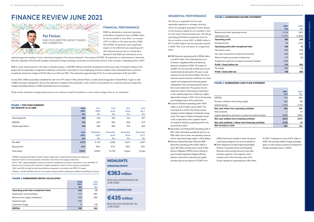1 EBITDA: operating profit before interest, taxation, depreciation, impairments (including non-trading net impairment losses on financial assets), amortisation and revenue from supply contributions <sup>2</sup> 2018 - 2021 capital expenditure is gross of customer contributions for network connections. (in line with IFRS 15 'Revenue from Contracts with Customers'). Capital expenditure in 2017 is net of customer contributions <sup>3</sup> 2021 and 2020 net debt includes lease liabilities recognised in accordance with IFRS 16 'Leases'

|                          |        | 4,770 5,120 5,239 4,915 |        |        | 4.337  |
|--------------------------|--------|-------------------------|--------|--------|--------|
| Gearing (%) <sup>4</sup> | 51%    | $55\%$ 57% 56% 52%      |        |        |        |
|                          | 15.021 | 13.842                  | 14,159 | 13.304 | 12.294 |

| <b>FIGURE 1: FIVE-YEAR SUMMARY</b> And the contract of the contract of the contract of the contract of the contract of the contract of the contract of the contract of the contract of the contract of the contract of the contract                        |  |  |              |                 | the contract of the contract of the contract of the contract of the contract of the contract of the contract of |          |  |             |
|------------------------------------------------------------------------------------------------------------------------------------------------------------------------------------------------------------------------------------------------------------|--|--|--------------|-----------------|-----------------------------------------------------------------------------------------------------------------|----------|--|-------------|
| SIX MONTHS TO 30 JUNE A REPORT OF REAL PROPERTY.                                                                                                                                                                                                           |  |  | <b>June</b>  | ≞June⊸          | alune a construction of the construction of the construction of the construction of the construction of the co  | ∘ June   |  | ⊕ June      |
|                                                                                                                                                                                                                                                            |  |  | 2021         | 2020            | $2019$ and $\sim$                                                                                               | .2018    |  | 2017        |
|                                                                                                                                                                                                                                                            |  |  | $\epsilon$ m | €m              | €m                                                                                                              | €m       |  | €m          |
| Operating profit entitled<br>the company of the company of the company of the company of the company of the company of the company of the company of the company of the company of the company of the company of the company of the company of the company |  |  | 363          | 249             | 294                                                                                                             | 244      |  | 297         |
| EBITDA <sup>1</sup>                                                                                                                                                                                                                                        |  |  | 742          | 604             | 664                                                                                                             | 620      |  | 673         |
| Capital expenditure <sup>2</sup> and the contract of the contract of the contract of the contract of the contract of the contract of the contract of the contract of the contract of the contract of the contract of the contract of the                   |  |  | 435          | $395$ and $395$ | $396$ and $\sim$                                                                                                | 579      |  | $\sim$ 303. |
|                                                                                                                                                                                                                                                            |  |  |              |                 |                                                                                                                 |          |  |             |
|                                                                                                                                                                                                                                                            |  |  | June         | December        | December                                                                                                        | December |  | December    |
|                                                                                                                                                                                                                                                            |  |  | 2021         | 2020            | 2019                                                                                                            | 2018     |  | 2017        |
|                                                                                                                                                                                                                                                            |  |  | €m           | €m              | €m                                                                                                              | €m       |  |             |
|                                                                                                                                                                                                                                                            |  |  |              |                 |                                                                                                                 |          |  |             |

4 Gearing - net debt divided by the sum of net assets and gross debt (including lease liabilities) excluding joint ventures

### FINANCIAL PERFORMANCE

ESB has delivered an improved operating profit before exceptional items of €363 million for the six months to June 2021, an increase of €114 million on the same period in 2020. The COVID-19 pandemic had a significant impact on the 2020 half year operating profit with reduced revenue due to a sharp fall in demand in Q2 2020 and restrictions on our

capital programme leading to more costs being charged to the income statement. The easing of COVID-19 restrictions, an improvement in electricity demand, regulated network tariff changes and positive foreign exchange movements are the primary drivers of the increase in operating profit in 2021.

ESB is a joint venture partner in the Neart na Gaoithe project, a 448 MW offshore wind farm development off the east coast of Scotland. Delays to the project and an expectation of significant additional construction costs (due to more challenging sea-bed conditions than anticipated) have caused an exceptional impairment charge of €106 million as at 30 June 2021. This represents approximately 0.7% of our total asset base at 30 June 2021.

In June 2021, ESB successfully completed the sale of its 47% stake in Tilbury Green Power, a waste wood energy plant in Great Britain. A gain on sale of €82m has been recognised in the income statement in respect of this transaction, most of which is accounted for as a reversal of previous impairment charges (including interest) on ESB shareholder loans to the project.

These results represent a strong performance as we continue to lead the transition to a low-carbon energy future for our customers.

### **HIGHLIGHTS**

(€114 MILLION INCREASE ON JUNE 2020)

(€40 MILLION INCREASE ON JUNE 2020) €435million

### **CAPITAL EXPENDITURE:**

### €363million

**OPERATING PROFIT:**

- ESB Networks operating profit of €206 million is up €74 million. This is primarily due to an increase in regulated tariffs and electricity demand compared to 2020. The impact of COVID-19 in the first half of 2020 led to lower overall electricity demand (c.4% year on year reduction for the first half of 2020). This led to reduced revenue and and a restriction of certain capital work programmes (reducing payroll capitalisation, thus increasing payroll costs in the income statement). The positive income statement impact of the easing of restrictions on the capital programme is offset by a higher depreciation charge in 2021 due to the growing and changing nature of the asset base.
- Customer Solutions operating profit of €31 million is up €13 million versus 2020. This is primarily as a result of the timing of price changes and the hedging of wholesale energy costs. The impact of higher wholesale market costs is expected to have a greater impact on Customer Solutions operating profit in the second half of 2021.
- Generation and Trading (GT) operating profit of €91 million (excluding exceptional items) is up €23 million due to lower net operating costs as well as improved energy margin in Great Britain.
- Northern Ireland Electricity Networks (NIE Networks) operating profit of €37 million is down €8 million primarily due to lower Public Service Obligation (PSO) income (timing of pass-through regulated charges) offset by positive movements in demand and capital activities (due to the impact of COVID-19 in

Provision utilisation and wo Interest and tax **Net cash inflow from op** Sale proceeds Capital expenditure and loans to expenditure and internal internal internal internal internal internal internal internal internal internal internal internal internal internal internal internal internal internal internal in **Net cash outflow from Net cash (outflow) / infl Net increase in cash** 

### **FIGURE 4: SUMMARISED CASH FLOW STATEMENT**

|                                                             | 2021  | 2020         |
|-------------------------------------------------------------|-------|--------------|
|                                                             | €m    | $\epsilon$ m |
| <b>EBITDA</b>                                               | 742   | 604          |
| Provision utilisation and working capital                   | 336   | 88           |
| Interest and tax                                            | (135) | (140)        |
| Net cash inflow from operating activities                   | 943   | 552          |
| Sale proceeds                                               |       | 13           |
| Capital expenditure and loans to equity accounted investees | (428) | (390)        |
| Net cash outflow from investing activities                  | (427) | (377)        |
| Net cash (outflow) / inflow from financing activities       | (215) | 16           |
| Net increase in cash                                        | 301   | 191          |

### **FIGURE 3: SUMMARISED INCOME STATEMENT**

|                                                      | 2021    | 2020    |
|------------------------------------------------------|---------|---------|
|                                                      | €m      | €m      |
| Revenue and other operating income                   | 2,154   | 1,857   |
| Operating costs                                      | (1,791) | (1,608) |
| <b>Operating profit</b>                              | 363     | 249     |
| Exceptional item                                     | 82      | (177)   |
| Operating profit after exceptional item              | 445     | 72      |
| Net finance costs                                    | (63)    | (78)    |
| Fair value movements on financial instruments        | (49)    | (53)    |
| Share of equity accounted investees loss             | (17)    | (3)     |
| Exceptional impairment of equity accounted investees | (106)   |         |
| Profit / (loss) before tax                           | 210     | (62)    |
| Tax charge                                           | (82)    | (4)     |
| Profit / (loss) after tax                            | 128     | (66)    |

### SEGMENTAL PERFORMANCE

The Group is organised into five main reportable segments or strategic divisions, which are managed separately. Further details on the business segments are included in note 6 of the interim financial statements. The Group operating profit before exceptional items for the six months to June 2021 of €363 million is €114 million higher than the equivalent period in 2020. This is set out below on a segmental basis.

> 2020) which have resulted in lower net payroll costs being charged to the income statement. ■ Other Segments include Engineering & Major Projects, Corporate Centre and Enterprise Services which provide services to the other business segments. This segment, which includes most of the financing costs of the Group, reported an operating loss of €2 million

for 2021 compared to a loss of €14 million in 2020. This primarily reflects foreign exchange gains on intercompany positions (compared to foreign exchange losses in 2020).

# FINANCE REVIEW JUNE 2021

### Pat Fenlon

EXECUTIVE DIRECTOR, GROUP FINANCE AND COMMERCIAL

> June 2020 €m

|                                          | <b>June</b> | June |
|------------------------------------------|-------------|------|
|                                          | 2021        | 2020 |
|                                          | €m          | €m   |
| Operating profit after exceptional items | 445         | 72   |
| Depreciation and amortisation            | 413         | 390  |
| Revenue from supply contributions        | (40)        | (36) |
| Impairment gain                          | (79)        |      |
| Impairment charge                        | 3           | 178  |
| <b>EBITDA</b>                            | 742         | 604  |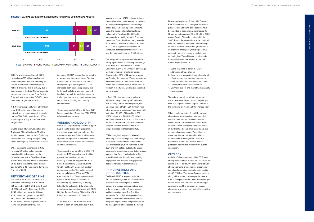ESB Networks expenditure of €289 million is up €20 million mainly due to increased spend on smart metering as well as distribution and transmission network projects. This is primarily due to the increase in the ESB Networks capital programme agreed under Price Review 5 as well as the impact of COVID-19 on the capital programme in 2020.

NIE Networks expenditure of €83 million is up €22 million due to higher core network and connections activity mainly due to COVID-19 restrictions in 2020 impacting the ability to complete work programmes.

Capital expenditure in Generation and Trading at €23 million is up €2 million with increases in new projects (including renewables and battery storage) being offset by marginally lower overhaul costs.

Other Segments expenditure of €40 million is €4 million below the prior period and includes spend on the redevelopment at the Fitzwilliam Street Head Office complex which is lower than 2020 due to the extended site closure due to COVID-19 restrictions during the first half of 2021.

### NET DEBT AND GEARING

Net debt of €4.8 billion at 30 June 2021 comprises borrowings of €5.2 billion (31 December 2020: €5.2 billion), cash of €553 million (31 December 2020: €249 million) and lease liabilities of €120 million recognised under IFRS 16 'Leases' (31 December 2020: €125 million). Borrowing levels remain in line with December 2020 with

increased EBITDA being offset by negative movements on the translation of Sterling denominated debt into euro due to the strengthening of Sterling in 2021. The increased cash balance is primarily due to the cash collateral amounts received in relation to mark-to-market of exchange traded gas, carbon and power contracts as set out in the Funding and Liquidity section below.

The gearing level of 51% at 30 June 2021 has reduced since December 2020 (55%) reflecting lower net debt.

### FUNDING AND LIQUIDITY

Group Treasury's funding activities support ESB's capital expenditure programme, the refinancing of maturing debt and the maintenance of a sufficient liquidity buffer against future political or economic events which may have an impact on cash flows and financial markets.

### PRINCIPAL RISKS AND **OPPORTUNITIES**

Throughout the period of the COVID-19 pandemic, ESB's cashflow and liquidity position has remained strong. In February 2020 ESB negotiated a €1.4 billion Sustainability-Linked Revolving Credit Facility with a group of fourteen international banks. This facility currently extends to February 2026, as ESB exercised the first of two 1-year extension options earlier this year. The cost of this standby liquidity facility is directly linked to the delivery by ESB of specific decarbonisation targets aligned with ESB's Brighter Future Strategy. This facility (€1.4 billion) was undrawn at 30 June 2021.

At 30 June 2021, ESB had over €550 million of cash on hand. Included in this

amount is just over €450 million relating to cash collateral amounts received in relation to mark-to-market positions of exchange traded gas, carbon and power contracts. Excluding these collateral amounts but including the Revolving Credit Facility and an undrawn facility with the European Investment Bank, the Group had just under €1.7 billion in available liquidity at 30 June 2021. This is significantly in excess of scheduled debt repayments due over the next 24 months of just over €150 million.

The weighted average interest rate on the Group's portfolio of outstanding borrowings at 30 June 2021 had fallen to 2.6% (31 December 2020: 2.7%). 99% of borrowings are fixed to maturity or inflation linked. Approximately 33% of Group borrowings are Sterling denominated. These borrowings have been raised to fund assets in Great Britain and Northern Ireland, which earn, or will earn in the future, Sterling denominated net revenues.

In April 2021 the breaks on a series of RPI-linked swaps, held by NIE Networks with a variety of bank counterparties, with a nominal value of GBP £550 million were either removed or extended. The swaps with maturities of 2026 (£200 million), 2031 (£200 million) and 2036 (£150 million) each had a break at June 2022. The breaks on the 2026 and 2031 swaps have been removed with the breaks on the 2036 swaps extended to December 2025.

ESB's strong liquidity position reflects its underlying financial strength and credit ratings of A- and A3 with Standard & Poor's and Moody's respectively, both reaffirmed during 2021 and with a stable outlook. The Group continues to proactively manage its borrowings repayment profile and maintains its ability to fund in the future through close ongoing engagement with its credit rating agencies, debt investors and relationship banks.

The Board of ESB is responsible for the Group's risk management and internal control systems, which are designed to identify, manage and mitigate potential material risks to the achievement of the Group's strategic and business objectives. The Board has approved a Group Risk Management Policy and Governance Framework which sets out delegated responsibilities and procedures for the management of risk across the Group.

Following completion of the 2021 Group Risk Plan and the 2021 mid-year risk review process, four additional principal risks have been added to the principal risks facing the Group set out on pages 28 to 39 of the 2020 Annual Report. The risks contained in the 2020 Annual Report continue to be principal risks for the Group albeit with a broadening of one of the risks to include a greater focus on organisational agility (including keeping pace with new and emerging markets and technologies). The additional principal risks (over and above those set out in the 2020 Annual Report) relate to:

- 1. ESB's response to policy measures addressing climate change
- 2. Growing and increasingly complex network infrastructures and systems required to meet future customer and societal needs
- 3. The industrial relations environment
- 4. Electricity system and market wide capacity margin issues

The risks above, along with those set out in the 2020 Annual Report reflect the principal risks and opportunities facing the Group for the remaining six months of the financial year.

What is included in the Annual Report and above is not an exhaustive statement of all relevant risks and opportunities. Matters which are not currently known to the Board or events which the Board considers to be of low likelihood could emerge and give rise to material consequences. The mitigation measures that are maintained in relation to these risks are designed to provide a reasonable but not an absolute level of protection against the impact of the events in question.

### **OUTLOOK**

As Ireland's leading energy utility, ESB has a strong balance sheet at 30 June 2021 with net assets of €4.1 billion. We continue to deliver strong operating profits (before exceptional items) and maintain a strong liquidity position of c.€1.7 billion. This strong financial position along with a stable business profile, means ESB is well positioned to meet the challenges that lie ahead and to deliver on our strategic ambition to lead the transition to reliable, affordable low-carbon energy for the benefit of our customers.





**ESB NETWORKS ENE NETWORKS EGERERATION AND TRADING ENERGY SEGMENTS**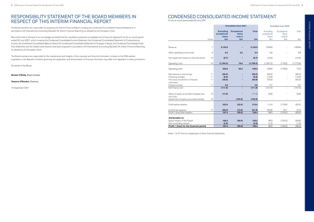# CONDENSED CONSOLIDATED INCOME STATEMENT

For the six month period ended 30 June 2021

Notes 1 to 27 form an integral part of these financial statements.

The Board members are responsible for preparing this Interim Financial Report including the Condensed Consolidated Financial Statements in accordance with International Accounting Standard 34, Interim Financial Reporting, as adopted by the European Union.

We confirm that to the best of our knowledge and belief that the unaudited condensed consolidated set of financial statements for the six month period ended 30 June 2021, which comprise the Condensed Consolidated Income Statement, the Condensed Consolidated Statement of Comprehensive Income, the Condensed Consolidated Balance Sheet, the Condensed Consolidated Statement of Changes in Equity, the Condensed Consolidated Cash Flow Statement, and the related notes thereto, have been prepared in accordance with International Accounting Standard 34, Interim Financial Reporting, as adopted by the European Union.

The Board members are responsible for the maintenance and integrity of the corporate and financial information included on the ESB website. Legislation in the Republic of Ireland governing the preparation and dissemination of financial information may differ from legislation in other jurisdictions.

On behalf of the Board,

**Noreen O'Kelly,** Board member

**Terence O'Rourke,** Chairman

15 September 2021

### RESPONSIBILITY STATEMENT OF THE BOARD MEMBERS IN RESPECT OF THIS INTERIM FINANCIAL REPORT

|                                           |              |                                                 | <b>Unaudited June 2021</b>                   |              |                                   | <b>Unaudited June 2020</b>     |           |
|-------------------------------------------|--------------|-------------------------------------------------|----------------------------------------------|--------------|-----------------------------------|--------------------------------|-----------|
|                                           |              | <b>Excluding</b><br>exceptional<br><b>items</b> | <b>Exceptional</b><br><b>items</b><br>note 8 | <b>Total</b> | Excluding<br>exceptional<br>items | Exceptional<br>items<br>note 8 | Total     |
|                                           | <b>Notes</b> | €m                                              | €m                                           | €m           | €m                                | €m                             | €m        |
|                                           |              |                                                 |                                              |              |                                   |                                |           |
| Revenue                                   | 7            | 2,153.5                                         |                                              | 2,153.5      | 1,849.8                           |                                | 1,849.8   |
|                                           |              |                                                 |                                              |              |                                   |                                |           |
| Other operating income (net)              | 9            | 0.2                                             | 3.2                                          | 3.4          | 6.8                               |                                | 6.8       |
| Net impairment losses on financial assets | 10           | (6.7)                                           |                                              | (6.7)        | (10.5)                            |                                | (10.5)    |
|                                           |              |                                                 |                                              |              |                                   |                                |           |
| Operating costs                           | 10           | (1,784.2)                                       | 79.0                                         | (1,705.2)    | (1,597.2)                         | (176.6)                        | (1,773.8) |
| Operating profit                          |              | 362.8                                           | 82.2                                         | 445.0        | 248.9                             | (176.6)                        | 72.3      |
|                                           |              |                                                 |                                              |              |                                   |                                |           |
| Net interest on borrowings                | 11           | (59.2)                                          |                                              | (59.2)       | (65.4)                            |                                | (65.4)    |
| Financing charges                         | 11           | (6.6)                                           |                                              | (6.6)        | (13.0)                            |                                | (13.0)    |
| Fair value movement on financial          | 11           | (48.6)                                          |                                              | (48.6)       | (53.3)                            |                                | (53.3)    |
| instrument                                |              |                                                 |                                              |              |                                   |                                |           |
| Finance income                            | 11           | 2.6                                             |                                              | 2.6          | 0.7                               |                                | 0.7       |
| Net finance cost                          |              | (111.8)                                         |                                              | (111.8)      | (131.0)                           |                                | (131.0)   |
|                                           |              |                                                 |                                              |              |                                   |                                |           |
| Share of equity accounted investees loss, | 14           | (17.6)                                          |                                              | (17.6)       | (3.6)                             |                                | (3.6)     |
| net of tax                                |              |                                                 |                                              |              |                                   |                                |           |
| Impairment of equity accounted investee   | 14           |                                                 | (105.6)                                      | (105.6)      |                                   |                                |           |
| Profit before taxation                    |              | 233.4                                           | (23.4)                                       | 210.0        | 114.3                             | (176.6)                        | (62.3)    |
|                                           |              |                                                 |                                              |              |                                   |                                |           |
| Income tax expense                        | 17           | (66.0)                                          | (15.6)                                       | (81.6)       | (25.8)                            | 22.1                           | (3.7)     |
| Profit / (loss) after taxation            |              | 167.4                                           | (39.0)                                       | 128.4        | 88.5                              | (154.5)                        | (66.0)    |
|                                           |              |                                                 |                                              |              |                                   |                                |           |
| <b>Attributable to:</b>                   |              |                                                 |                                              |              |                                   |                                |           |
| Equity holders of the Parent              |              | 168.2                                           | (39.0)                                       | 129.2        | 89.9                              | (154.5)                        | (64.6)    |
| Non-controlling interest                  |              | (0.8)                                           |                                              | (0.8)        | (1.4)                             |                                | (1.4)     |
| Profit / (loss) for the financial period  |              | 167.4                                           | (39.0)                                       | 128.4        | 88.5                              | (154.5)                        | (66.0)    |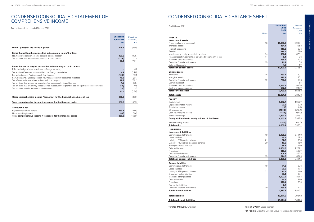### CONDENSED CONSOLIDATED STATEMENT OF COMPREHENSIVE INCOME

For the six month period ended 30 June 2021

|                                                                                                            | <b>Unaudited</b><br><b>June 2021</b> | Unaudited<br>June 2020 |
|------------------------------------------------------------------------------------------------------------|--------------------------------------|------------------------|
|                                                                                                            | €m                                   | $\epsilon$ m           |
| Profit / (loss) for the financial period                                                                   | 128.4                                | (66.0)                 |
| Items that will not be reclassified subsequently to profit or loss:                                        |                                      |                        |
| NIE Networks pension scheme actuarial gains / (losses)                                                     | 102.0                                | (92.5)                 |
| Tax on items that will not be reclassified to profit or loss                                               | (12.6)                               | 21.4                   |
|                                                                                                            | 89.4                                 | (71.1)                 |
| Items that are or may be reclassified subsequently to profit or loss:                                      |                                      |                        |
| Effective hedge of a net investment in foreign subsidiary                                                  |                                      | 0.2                    |
| Translation differences on consolidation of foreign subsidiaries                                           | 4.4                                  | (14.0)                 |
| Fair value (losses) / gains on cash flow hedges                                                            | (12.6)                               | 19.1                   |
| Fair value gains / (losses) on cash flow hedges in equity accounted investees                              | 40.8                                 | (3.7)                  |
| Transferred to income statement on cash flow hedges                                                        | 16.2                                 | (21.1)                 |
| Tax on items that are or may be reclassified subsequently to profit or loss                                | 1.5                                  | (2.5)                  |
| Tax on items that are or may be reclassified subsequently to profit or loss for equity accounted investees | (6.8)                                | 0.6                    |
| Tax on items transferred to income statement                                                               | (2.0)                                | 2.6                    |
|                                                                                                            | 41.5                                 | (18.8)                 |
| Other comprehensive income / (expense) for the financial period, net of tax                                | 130.9                                | (89.9)                 |
| Total comprehensive income / (expense) for the financial period                                            | 259.3                                | (155.9)                |
| Attributable to:                                                                                           |                                      |                        |
| Equity holders of the Parent                                                                               | 260.1                                | (154.5)                |
| Non-controlling interest                                                                                   | (0.8)                                | (1.4)                  |
| Total comprehensive income / (expense) for the financial period                                            | 259.3                                | (155.9)                |

# CONDENSED CONSOLIDATED BALANCE SHEET

| <b>ASSETS</b>                                                    |
|------------------------------------------------------------------|
| <b>Non-current assets</b>                                        |
| Property, plant and equipment                                    |
| Intangible assets                                                |
| Right-of-use assets                                              |
| Goodwill                                                         |
| Investments in equity accounted investees                        |
| Financial asset investments at fair value through profit or loss |
| Trade and other receivables                                      |
| Derivative financial instruments                                 |
| Deferred tax assets                                              |
| <b>Total non-current assets</b>                                  |
| <b>Current assets</b>                                            |
| Inventories                                                      |
| Intangible assets                                                |
| Derivative financial instruments                                 |
| Current tax asset                                                |
| Trade and other receivables                                      |
| Cash and cash equivalents                                        |
| <b>Total current assets</b>                                      |
| <b>Total assets</b>                                              |
|                                                                  |
| <b>EQUITY</b>                                                    |
| Capital stock                                                    |
| Capital redemption reserve                                       |
| Translation reserve                                              |
| Other reserves                                                   |
| Cash flow hedging reserve                                        |
| Retained earnings                                                |
| Equity attributable to equity holders of the Parent              |
| Non-controlling interest                                         |
| <b>Total equity</b>                                              |
| <b>LIABILITIES</b>                                               |
| <b>Non-current liabilities</b>                                   |
| Borrowings and other debt                                        |
| Lease liabilities                                                |
| Liability - ESB pension scheme                                   |
| Liability - NIE Networks pension scheme                          |
| Employee related liabilities                                     |
| Deferred income                                                  |
| Provisions                                                       |
| Deferred tax liabilities                                         |
|                                                                  |
| Derivative financial instruments                                 |

| As at 30 June 2021                                                       |              | <b>Unaudited</b> | Audited          |
|--------------------------------------------------------------------------|--------------|------------------|------------------|
|                                                                          |              | June<br>2021     | December         |
|                                                                          | <b>Notes</b> | €m               | 2020<br>€m       |
| <b>ASSETS</b>                                                            |              |                  |                  |
| <b>Non-current assets</b>                                                |              |                  |                  |
| Property, plant and equipment                                            | 13           | 11,056.9         | 10,930.1         |
| Intangible assets                                                        |              | 454.1            | 426.8            |
| Right-of-use assets                                                      |              | 116.2            | 123.6            |
| Goodwill                                                                 |              | 176.9            | 169.0            |
| Investments in equity accounted investees                                | 14           | 306.4            | 378.1            |
| Financial asset investments at fair value through profit or loss         | 14           | 5.4              | 8.6              |
| Trade and other receivables                                              |              | 159.2            | 149.3            |
| Derivative financial instruments                                         | 19           | 11.1             | 8.3              |
| Deferred tax assets                                                      |              | 4.6              | 1.7              |
| <b>Total non-current assets</b>                                          |              | 12,290.8         | 12,195.5         |
| <b>Current assets</b>                                                    |              |                  |                  |
| Inventories                                                              | 15           | 160.4            | 160.1            |
| Intangible assets                                                        |              | 129.1            | 120.1            |
| Derivative financial instruments                                         | 19           | 760.5            | 169.6            |
| Current tax asset                                                        |              |                  | 5.7              |
| Trade and other receivables                                              |              | 1,127.5          | 942.6            |
| Cash and cash equivalents                                                |              | 552.8            | 248.7            |
| <b>Total current assets</b>                                              |              | 2,730.3          | 1,646.8          |
| <b>Total assets</b>                                                      |              | 15,021.1         | 13,842.3         |
| <b>EQUITY</b>                                                            |              |                  |                  |
| Capital stock                                                            |              | 1,957.7          | 1,957.7          |
| Capital redemption reserve                                               |              | 22.2             | 22.2             |
| <b>Translation reserve</b>                                               |              | (2.0)            | (6.4)            |
| Other reserves                                                           |              | (190.5)          | (243.4)          |
| Cash flow hedging reserve                                                |              | (13.8)           | (50.9)           |
| Retained earnings                                                        |              | 2,291.5          | 2,243.1          |
| Equity attributable to equity holders of the Parent                      |              | 4,065.1          | 3,922.3          |
| Non-controlling interest                                                 |              | (15.0)           | (14.2)           |
| <b>Total equity</b>                                                      |              | 4,050.1          | 3,908.1          |
| <b>LIABILITIES</b>                                                       |              |                  |                  |
| <b>Non-current liabilities</b>                                           |              |                  |                  |
| Borrowings and other debt                                                | 18           | 5,128.5          | 5,114.0          |
| Lease liabilities                                                        |              | 99.9             | 107.3            |
| Liability - ESB pension scheme                                           | 21           | 92.2             | 95.3             |
| Liability - NIE Networks pension scheme                                  | 20           | 10.6             | 116.9            |
| Employee related liabilities                                             |              | 36.6             | 47.0             |
| Deferred income                                                          |              | 1,331.8          | 1,269.1          |
| Provisions                                                               |              | 613.5            | 597.7            |
| Deferred tax liabilities                                                 |              | 508.9            | 462.3            |
| Derivative financial instruments<br><b>Total non-current liabilities</b> | 19           | 674.8<br>8,496.8 | 604.9<br>8,414.5 |
|                                                                          |              |                  |                  |
| <b>Current liabilities</b>                                               |              |                  |                  |
| Borrowings and other debt                                                | 18           | 74.2             | 129.6            |
| Lease liabilities                                                        |              | 20.0             | 17.5             |
| Liability - ESB pension scheme                                           | 21           | 10.7             | 11.0             |
| Employee related liabilities                                             |              | 89.4<br>1,097.2  | 90.1<br>821.4    |
| Trade and other payables<br>Deferred income                              |              | 87.7             | 91.0             |
| Provisions                                                               |              | 328.1            | 166.4            |
| Current tax liabilities                                                  |              | 7.6              |                  |
| Derivative financial instruments                                         | 19           | 759.3            | 192.7            |
| <b>Total current liabilities</b>                                         |              | 2,474.2          | 1,519.7          |
|                                                                          |              |                  |                  |
| <b>Total liabilities</b>                                                 |              | 10,971.0         | 9,934.2          |
| <b>Total equity and liabilities</b>                                      |              | 15,021.1         | 13,842.3         |

**Terence O'Rourke, Chairman Noreen O'Kelly, Board member** 

**Pat Fenlon, Executive Director, Group Finance and Commercial** 

### **Current liabilities**

| Current tax liabilities        |  |
|--------------------------------|--|
| Deferred income<br>Provisions  |  |
| Trade and other payables       |  |
| Employee related liabilities   |  |
| Liability - ESB pension scheme |  |
| Lease liabilities              |  |
| Borrowings and other debt      |  |
|                                |  |

**Total equity and liabilities**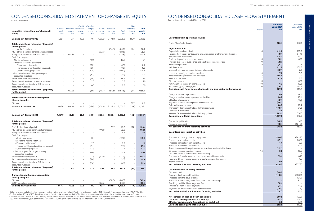# CONDENSED CONSOLIDATED STATEMENT OF CHANGES IN EQUITY

As at 30 June 2021

1Other reserves include (i) other reserves relating to the Northern Ireland Electricity Networks Limited (NIE Networks) pension scheme of (€147.8) million (31 December 2020: (€237.2) million), (ii) a non-distributable reserve of (€5.0) million which was created on the sale of the Group's share in Ocean Communications Limited in 2001; and (iii) an ESOP repurchase provision which relates to the amount that ESB has committed to date to purchase from the ESOP internal market (€36.5) million (31 December 2020: €nil). Refer to note 25 for information on the ESOP provision.

| Unaudited reconciliation of changes in                           | Capital<br>stock | reserve | Capital<br>Translation redemption<br>reserve | Cash flow<br>hedging<br>reserve | Other<br>reserves <sup>1</sup> | Retained<br>earnings     | Total            | Non-<br>controlling<br>interest | <b>Total</b><br>equity |
|------------------------------------------------------------------|------------------|---------|----------------------------------------------|---------------------------------|--------------------------------|--------------------------|------------------|---------------------------------|------------------------|
| equity                                                           | €m               | €m      | €m                                           | €m                              | €m                             | €m                       | €m               | €m                              | €m                     |
| <b>Balance at 1 January 2020</b>                                 | 1,966.4          | 3.7     | 13.5                                         | (17.0)                          | (233.2)                        | 2,171.8                  | 3,905.2          | (10.0)                          | 3.895.2                |
| Total comprehensive income / (expense)<br>for the period         |                  |         |                                              |                                 |                                |                          |                  |                                 |                        |
| Loss for the financial period                                    |                  |         |                                              |                                 |                                | (64.6)                   | (64.6)           | (1.4)                           | (66.0)                 |
| NIE Networks pension scheme actuarial losses                     |                  |         |                                              |                                 | (92.5)                         |                          | (92.5)           |                                 | (92.5)                 |
| Foreign currency translation adjustments<br>Cash flow hedges:    |                  | (13.8)  |                                              |                                 |                                | $\overline{\phantom{a}}$ | (13.8)           | $\overline{\phantom{a}}$        | (13.8)                 |
| - Net fair value gains                                           |                  |         |                                              | 19.1                            |                                | $\equiv$                 | 19.1             | $\equiv$                        | 19.1                   |
| - Transfers to income statement                                  |                  |         |                                              |                                 |                                |                          |                  |                                 |                        |
| - Finance cost (interest)                                        |                  |         | ÷,                                           | (0.3)                           |                                | $\overline{a}$           | (0.3)            | ÷,                              | (0.3)                  |
| - Finance cost (foreign translation movements)                   |                  |         |                                              | (0.6)                           |                                | $\equiv$                 | (0.6)            |                                 | (0.6)                  |
| - Other operating expenses                                       |                  |         | ÷,                                           | (20.2)                          |                                | ÷,                       | (20.2)           | $\sim$                          | (20.2)                 |
| - Fair value losses for hedges in equity                         |                  |         | $\overline{\phantom{a}}$                     | (3.7)                           |                                | ÷,                       | (3.7)            | ÷,                              | (3.7)                  |
| accounted investees<br>Tax on items taken directly to OCI        |                  |         | ÷.                                           | (2.5)                           | 21.4                           | L,                       | 18.9             |                                 | 18.9                   |
| Tax on items transferred to income statement                     |                  |         | $\overline{\phantom{a}}$                     | 2.6                             |                                | $\equiv$                 | 2.6              |                                 | 2.6                    |
| Tax on items taken directly to OCI for equity                    |                  |         |                                              |                                 |                                |                          |                  |                                 |                        |
| accounted investees                                              |                  |         |                                              | 0.6                             |                                |                          | 0.6              | $\overline{a}$                  | 0.6                    |
| Total comprehensive income / (expense)<br>for the period         | ÷,               | (13.8)  | $\overline{\phantom{a}}$                     | (5.0)                           | (71.1)                         | (64.6)                   | (154.5)          | (1.4)                           | (155.9)                |
|                                                                  |                  |         |                                              |                                 |                                |                          |                  |                                 |                        |
| <b>Transactions with owners recognised</b><br>directly in equity |                  |         |                                              |                                 |                                |                          |                  |                                 |                        |
| <b>Dividends</b>                                                 |                  |         |                                              |                                 |                                |                          |                  | (0.2)                           | (0.2)                  |
| <b>Balance at 30 June 2020</b>                                   | 1,966.4          | (10.1)  | 13.5                                         | (22.0)                          | (304.3)                        | 2,107.2                  | 3,750.7          | (11.6)                          | 3,739.1                |
|                                                                  |                  |         |                                              |                                 |                                |                          |                  |                                 |                        |
| <b>Balance at 1 January 2021</b>                                 | 1,957.7          | (6.4)   | 22.2                                         | (50.9)                          | (243.4)                        | 2,243.1                  | 3,922.3          | (14.2)                          | 3,908.1                |
| Total comprehensive income / (expense)<br>for the period         |                  |         |                                              |                                 |                                |                          |                  |                                 |                        |
| Profit for the financial period                                  |                  |         |                                              |                                 |                                | 129.2                    | 129.2            | (0.8)                           | 128.4                  |
| NIE Networks pension scheme actuarial gains                      |                  |         |                                              |                                 | 102.0                          | ÷,                       | 102.0            |                                 | 102.0                  |
| Foreign currency translation adjustments                         |                  | 4.4     |                                              |                                 |                                | L,                       | 4.4              | $\overline{\phantom{a}}$        | 4.4                    |
| Cash flow hedges:                                                |                  |         |                                              |                                 |                                |                          |                  |                                 |                        |
| - Net fair value losses                                          |                  |         |                                              | (12.6)                          |                                | L,                       | (12.6)           | $\overline{a}$                  | (12.6)                 |
| - Transfers to income statement<br>- Finance cost (interest)     |                  |         |                                              | 2.3                             |                                |                          | 2.3              | $\overline{a}$                  | 2.3                    |
| - Finance cost (foreign translation movements)                   |                  |         |                                              | (7.4)                           |                                |                          | (7.4)            | $\overline{\phantom{a}}$        | (7.4)                  |
| - Other operating expenses                                       |                  |         |                                              | 21.3                            |                                |                          | 21.3             | $\overline{\phantom{a}}$        | 21.3                   |
| - Fair value gains for hedges in equity                          |                  |         |                                              |                                 |                                |                          |                  |                                 |                        |
| accounted investees                                              |                  |         | L,                                           | 40.8                            |                                | L,                       | 40.8             | $\overline{\phantom{a}}$        | 40.8                   |
| Tax on items taken directly to OCI                               |                  |         |                                              | 1.5                             | (12.6)                         |                          | (11.1)           | $\overline{\phantom{a}}$        | (11.1)                 |
| Tax on items transferred to income statement                     |                  |         | $\overline{\phantom{a}}$                     | (2.0)                           |                                |                          | (2.0)            | $\overline{\phantom{a}}$        | (2.0)                  |
| Tax on items taken directly to OCI for equity                    |                  |         | ÷,                                           | (6.8)                           |                                | $\overline{a}$           | (6.8)            | $\overline{\phantom{a}}$        | (6.8)                  |
| accounted investees<br>Total comprehensive income / (expense)    |                  |         |                                              |                                 |                                |                          |                  |                                 |                        |
| for the period                                                   | $\blacksquare$   | 4.4     | $\blacksquare$                               | 37.1                            | 89.4                           | 129.2                    | 260.1            | (0.8)                           | 259.3                  |
| Transactions with owners recognised                              |                  |         |                                              |                                 |                                |                          |                  |                                 |                        |
| directly in equity<br><b>Dividends</b>                           |                  |         |                                              |                                 |                                |                          |                  |                                 |                        |
| ESOP repurchase provision <sup>1</sup>                           |                  |         |                                              |                                 | (36.5)                         | (80.8)                   | (80.8)<br>(36.5) |                                 | (80.8)<br>(36.5)       |
| Balance at 30 June 2021                                          | 1,957.7          | (2.0)   | 22.2                                         | (13.8)                          | (190.5)                        | 2,291.5                  | 4,065.1          | (15.0)                          | 4,050.1                |

|                                                                                                              |              | <b>Unaudited</b><br><b>June 2021</b> | Unaudited<br><b>June 2020</b> |
|--------------------------------------------------------------------------------------------------------------|--------------|--------------------------------------|-------------------------------|
|                                                                                                              | <b>Notes</b> | €m                                   | €m                            |
| Cash flows from operating activities                                                                         |              |                                      |                               |
|                                                                                                              |              |                                      |                               |
| Profit / (loss) after taxation                                                                               |              | 128.4                                | (66.0)                        |
| <b>Adjustments for:</b>                                                                                      |              |                                      |                               |
| Depreciation and amortisation                                                                                | 10           | 412.6                                | 390.3                         |
| Revenue from supply contributions and amortisation of other deferred income<br>Net emissions movements       |              | (49.3)<br>115.1                      | (54.1)<br>49.0                |
| Profit on disposal of non-current assets                                                                     | 9            | (0.2)                                | (0.1)                         |
| Profit on disposal of subsidiaries and equity accounted investees                                            | 9            | (3.2)                                |                               |
| Inventory impairment                                                                                         | 15           | (3.3)                                | 0.4                           |
| Net finance cost                                                                                             | 11           | 111.8                                | 131.0                         |
| Impact of fair value adjustments in operating costs                                                          |              | (20.7)                               | 2.8                           |
| Losses from equity accounted investees                                                                       | 14           | 17.6                                 | 3.6                           |
| Impairment of equity accounted investees                                                                     | 14           | 105.6                                |                               |
| Income tax expense                                                                                           | 17<br>9      | 81.6                                 | 3.7                           |
| Dividend received<br>Net impairment losses on financial assets                                               | 10           | 6.7                                  | (0.5)<br>10.5                 |
| Impairment (gain) / charge, net                                                                              | 10           | (75.4)                               | 177.6                         |
| Operating cash flows before changes in working capital and provisions                                        |              | 827.3                                | 648.2                         |
| Charge in relation to provisions                                                                             |              | 10.6                                 | 18.7                          |
| Charge in relation to employee related liabilities                                                           |              | 38.2                                 | 40.1                          |
| Utilisation of provisions                                                                                    |              | (4.6)                                | (6.2)                         |
| Payments in respect of employee related liabilities                                                          |              | (65.8)                               | (71.0)                        |
| Deferred income received                                                                                     |              | 88.5                                 | 76.4                          |
| (Increase) / decrease in trade and other receivables                                                         |              | (108.7)                              | 54.3                          |
| Decrease in inventories                                                                                      |              | 2.9                                  | 7.1                           |
| Increase / (decrease) in trade and other payables<br>Cash generated from operations                          |              | 289.1<br>1,077.5                     | (75.1)<br>692.5               |
|                                                                                                              |              |                                      |                               |
| Current tax paid (net)<br>Financing costs paid                                                               |              | (38.5)<br>(96.5)                     | (19.1)<br>(121.3)             |
| Net cash inflow from operating activities                                                                    |              | 942.5                                | 552.1                         |
| Cash flows from investing activities                                                                         |              |                                      |                               |
|                                                                                                              |              |                                      |                               |
| Purchase of property, plant and equipment                                                                    |              | (360.4)                              | (342.7)                       |
| Purchase of intangible assets                                                                                |              | (57.1)                               | (60.0)                        |
| Proceeds from sale of non-current assets                                                                     |              | 1.1                                  | 0.2                           |
| Proceeds from sale of investments                                                                            |              |                                      | 12.7                          |
| Amounts advanced to equity accounted investees as shareholder loans<br>Dividends received from joint venture | 14           | (12.2)<br>3.3                        | 10.5                          |
| Dividends received from associate undertaking                                                                |              |                                      | 0.5                           |
| Purchase of financial assets and equity accounted investments                                                |              | (2.0)                                | (0.7)                         |
| Repayment from financial assets and equity accounted investees                                               |              |                                      | 1.5                           |
| Interest received                                                                                            |              | 0.5                                  | 0.7                           |
| Net cash outflow from investing activities                                                                   |              | (426.8)                              | (377.3)                       |
| Cash flows from financing activities                                                                         |              |                                      |                               |
| Dividends paid                                                                                               |              | (80.8)                               |                               |
| Repayments of term debt facilities                                                                           |              | (113.3)                              | (433.0)                       |
| Proceeds from the issue of bonds                                                                             |              |                                      | 431.9                         |
| Proceeds from revolving credit facility and other borrowings                                                 |              |                                      | 30.0                          |
| Revolving credit facility arrangement fee<br>Principal element of lease payments                             |              | (0.9)<br>(6.4)                       | (5.2)                         |
| Payments on inflation-linked interest rate swaps                                                             |              | (13.8)                               | (7.6)                         |
| Net cash (outflow) / inflow from financing activities                                                        |              | (215.2)                              | 16.1                          |
|                                                                                                              |              |                                      |                               |
| Net increase in cash and cash equivalents                                                                    |              | 300.5                                | 190.9                         |
| Cash and cash equivalents at 1 January                                                                       |              | 248.7                                | 125.1                         |
| Effect of exchange rate fluctuations on cash held                                                            |              | 3.6                                  | (5.4)                         |
| Cash and cash equivalents at 30 June                                                                         |              | 552.8                                | 310.6                         |

### CONDENSED CONSOLIDATED CASH FLOW STATEMENT

For the six month period ended 30 June 2021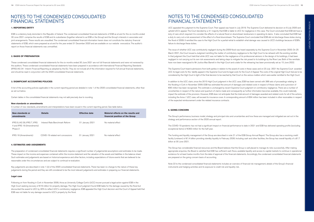### **1. REPORTING ENTITY**

ESB is a statutory body domiciled in the Republic of Ireland. The condensed consolidated financial statements of ESB as at and for the six months ended 30 June 2021 comprise the results of ESB and its subsidiaries (together referred to as ESB or the Group) and the Group's interests in associates and joint arrangements. These results are unaudited. The condensed consolidated financial information herein does not constitute the statutory financial statements of ESB, which were prepared as at and for the year ended 31 December 2020 and are available on our website www.esb.ie. The auditor's report on those financial statements was unmodified.

### **2. BASIS OF PREPARATION**

These condensed consolidated financial statements for the six months ended 30 June 2021 are not full financial statements and were not reviewed by the auditors. These condensed consolidated financial statements have been prepared in accordance with International Financial Reporting Standards (IFRS) IAS 34 - Interim Financial Reporting as adopted by the EU. They do not include all of the information required for full annual financial statements, and should be read in conjunction with the 2020 consolidated financial statements.

### **3. SIGNIFICANT ACCOUNTING POLICIES**

A list of the accounting policies applicable in the current reporting period are detailed in note 1 of the 2020 consolidated financial statements, other than as set out below.

Certain tables in the consolidated financial statements may not add precisely due to rounding.

### **New standards or amendments**

A number of new standards, amendments and interpretations have been issued in the current reporting period. See table below.

| New standards or<br>amendments                                        | <b>Details</b>                    | <b>Effective date</b> | Material effects on the results and<br>financial position of the Group |
|-----------------------------------------------------------------------|-----------------------------------|-----------------------|------------------------------------------------------------------------|
| IFRS 9, IAS 39, IFRS 7, IFRS<br>4 and IFRS 16 (Amendments)<br>Phase 2 | Interest Rate Benchmark Reform    | 01 January 2021       | No material effect                                                     |
| IFRS 16 (Amendments)                                                  | COVID-19 related rent concessions | 01 January 2021       | No material effect                                                     |

#### **4. ESTIMATES AND JUDGEMENTS**

The preparation of condensed consolidated financial statements requires a significant number of judgemental assumptions and estimates to be made. These impact on the income and expenses contained within the income statement and the valuation of the assets and liabilities in the balance sheet. Such estimates and judgements are based on historical experience and other factors, including expectations of future events that are believed to be reasonable under the circumstances and are subject to continual re-evaluation.

Key judgements are described in note 1 (iii) of the 2020 consolidated financial statements. There has been no change to the nature of these key judgements during the period and they are still considered to be the most relevant judgements and estimates in preparing our financial statements.

### **Legal case**

Following on from flooding in Cork in November 2009, Aviva as University College Cork's (UCC) insurer pursued a legal action against ESB in the High Court seeking recovery of €19 million for property damage. The High Court judgment found ESB liable for the damage caused by the flood but discounted the award to UCC by 40% to reflect UCC's contributory negligence. ESB appealed the High Court decision and the Court of Appeal held that ESB was not liable for any damage caused to UCC's property by the flood.

UCC appealed this judgment to the Supreme Court. Their appeal was heard in July 2019. The Supreme Court delivered its decision on 8 July 2020 and upheld UCC's appeal. The Court decided by a 4:1 majority that ESB is liable to UCC for negligence in this case. The Court concluded that ESB did have a duty of care which required it to consider the effects of a natural flood on downstream landowners in operating its dams. It also concluded that ESB had a duty to carry out a risk assessment of the effect of a flood downstream. The Supreme Court concluded that ESB did not discharge these duties during the flood of 2009. It remitted the case to the High Court for a partial retrial to establish what damage was caused to UCC's buildings because of ESB's failure to discharge these duties.

The issue of whether UCC was contributorily negligent during the 2009 flood was heard separately by the Supreme Court in November 2020. On 25 March 2021, the Court issued a Judgment remitting the matter of contributory negligence to the High Court to be reheard with the existing remittal. In that judgment the Court held that while UCC was not liable for the negligence of its professional advisors in the design of its buildings, it had been negligent in not carrying out its own risk assessments and taking steps to mitigate the risk posed to its buildings by the River Lee. Both of the remittals have now been reassigned to Mr Justice Max Barrett in the High Court and a date for the rehearing has been provisionally set as 15 June 2022.

The Supreme Court heard submissions from both parties in relation to the award of costs in these cases and on 23 July 2021 the Supreme Court awarded UCC its legal costs for the liability appeal in the Supreme Court and its legal costs for the Court of Appeal. The costs of the original High Court trial are to be considered by the High Court in light of the final decision to be reached by that Court on the various matters which were earlier remitted to the High Court.

In addition to the UCC claim, since the 2015 High Court judgment in the UCC case, ESB has been served with 388 sets of proceedings relating to the flooding in Cork in November 2009. ESB has estimated the amount of damages and related costs in respect of these claims and a provision of €95 million has been recognised. This estimate is unchanged by recent Supreme Court judgment on contributory negligence. There are a number of uncertainties in respect of the nature and quantum of claims made and consequently as further information becomes available, this could materially impact the estimate of the provision. However, ESB does not anticipate that the total amount of damages awarded and related costs for all of the actions, including the Aviva / UCC case, will exceed its insurance cover. A corresponding amount of €94 million has been included in other receivables in respect of the expected reimbursement under the related insurance contracts.

### **5. GOING CONCERN**

The Group's performance, business model, strategy and principal risks and uncertainties and how these are managed and mitigated are set out in the strategy and performance section of the 2020 annual report.

The COVID-19 pandemic has not had a significant impact on financial performance to date in 2021 and ESB has delivered operating profits (excluding exceptional items) of €363 million for the half-year.

The funding and liquidity management of the Group are described in note 21 of the ESB Group Annual Report. The Group also has a revolving credit facility (undrawn) of €1.4 billion providing standby liquidity to February 2026. Including cash and other facilities, the Group has overall liquidity of c.€1.7 billion at 30 June 2021.

The Group has considerable financial resources and the Board believes that the Group is well placed to manage its risks successfully. After making appropriate enquiries, the Board is satisfied that ESB has sufficient cash flows, available liquidity and access to capital markets to continue in operational existence for at least twelve months from the date of approval of the financial statements. Accordingly, the condensed consolidated financial statements are prepared on the going concern basis of accounting.

Note 22 to the condensed consolidated financial statements includes an overview of financial risk management, details of the Group's financial instruments and hedging activities and its exposure to credit risk and liquidity risk.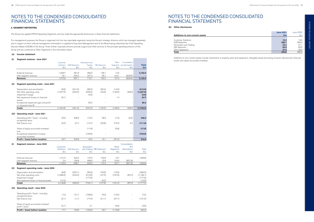### **(a) Income statement**

### **(i) Segment revenue - June 2021**

|       |                                                                | Customer<br>Solutions | <b>ESB Networks</b> | Generation and<br>Trading | <b>NIE Networks</b>      | Other    | Consolidation<br>Segments and eliminations | <b>Total</b> |
|-------|----------------------------------------------------------------|-----------------------|---------------------|---------------------------|--------------------------|----------|--------------------------------------------|--------------|
|       |                                                                | €m                    | €m                  | €m                        | €m                       | €m       | €m                                         | €m           |
|       | External revenues                                              | 1,259.7               | 461.8               | 282.5                     | 136.1                    | 13.4     |                                            | 2,153.5      |
|       | Inter-segment revenue                                          | 16.1                  | 205.3               | 437.2                     | 26.1                     | 144.1    | (828.8)                                    |              |
|       | <b>Revenue</b>                                                 | 1,275.8               | 667.1               | 719.7                     | 162.2                    | 157.5    | (828.8)                                    | 2,153.5      |
| (ii)  | Segment operating costs - June 2021                            |                       |                     |                           |                          |          |                                            |              |
|       | Depreciation and amortisation                                  | (8.9)                 | (241.0)             | (66.3)                    | (82.4)                   | (14.0)   |                                            | (412.6)      |
|       | Net other operating costs                                      | (1,227.9)             | (220.2)             | (559.5)                   | (42.9)                   | (145.9)  | 828.6                                      | (1, 367.8)   |
|       | Impairment charge                                              |                       |                     | (3.6)                     |                          |          |                                            | (3.6)        |
|       | Net impairment losses on financial<br>assets                   | (8.1)                 |                     |                           |                          | 1.4      |                                            | (6.7)        |
|       | Exceptional impairment gain and profit<br>on disposal (note 8) |                       |                     | 82.2                      |                          |          |                                            | 82.2         |
|       | <b>Costs</b>                                                   | (1,244.9)             | (461.2)             | (547.2)                   | (125.3)                  | (158.5)  | 828.6                                      | (1,708.5)    |
| (iii) | <b>Operating result - June 2021</b>                            |                       |                     |                           |                          |          |                                            |              |
|       | Operating profit / (loss) - including<br>exceptional items     | 30.9                  | 205.9               | 172.5                     | 36.9                     | (1.0)    | (0.2)                                      | 445.0        |
|       | Net finance cost                                               | (0.2)                 | (2.1)               | (14.7)                    | (20.8)                   | (74.2)   | 0.2                                        | (111.8)      |
|       | Share of equity accounted investees'<br>loss                   |                       |                     | (11.8)                    |                          | (5.8)    | $\overline{\phantom{m}}$                   | (17.6)       |
|       | Exceptional impairment of equity<br>accounted investees        |                       |                     | (105.6)                   |                          |          | ÷,                                         | (105.6)      |
|       | Profit / (loss) before taxation                                | 30.7                  | 203.8               | 40.4                      | 16.1                     | (81.0)   | $\overline{\phantom{a}}$                   | 210.0        |
| (i)   |                                                                |                       |                     |                           |                          |          | Consolidation                              |              |
|       | Segment revenue - June 2020                                    | Customer              |                     | Generation                |                          | Other    | and                                        |              |
|       |                                                                | Solutions             | <b>ESB Networks</b> |                           | and Trading NIE Networks | Segments | eliminations                               | Total        |
|       |                                                                | €m                    | €m                  | €m                        | €m                       | €m       | €m                                         | €m           |
|       | External revenues                                              | 1,131.5               | 404.3               | 147.5                     | 152.8                    | 13.7     |                                            | 1,849.8      |
|       | Inter-segment revenue                                          | 2.4                   | 183.8               | 498.0                     | 19.6                     | 154.0    | (857.8)                                    |              |
|       | <b>Revenue</b>                                                 | 1,133.9               | 588.1               | 645.5                     | 172.4                    | 167.7    | (857.8)                                    | 1,849.8      |
| (ii)  | Segment operating costs - June 2020                            |                       |                     |                           |                          |          |                                            |              |
|       | Depreciation and amortisation                                  | (8.8)                 | (222.1)             | (65.9)                    | (79.9)                   | (13.6)   |                                            | (390.3)      |
|       | Net other operating costs                                      | (1,096.9)             | (234.3)             | (510.6)                   | (47.5)                   | (167.6)  | 857.8                                      | (1, 199.1)   |
|       | Impairment charge                                              |                       |                     | (177.6)                   |                          |          |                                            | (177.6)      |
|       | Net impairment losses on financial assets                      | (10.3)                |                     |                           | (0.2)                    |          |                                            | (10.5)       |
|       | Costs                                                          | (1, 116.0)            | (456.4)             | (754.1)                   | (127.6)                  | (181.2)  | 857.8                                      | (1,777.5)    |
| (iii) | <b>Operating result - June 2020</b>                            |                       |                     |                           |                          |          |                                            |              |
|       | Operating profit / (loss) - including                          | 17.9                  | 131.7               | (108.6)                   | 44.8                     | (13.5)   |                                            | 72.3         |
|       | exceptional items<br>Net finance cost                          | (0.1)                 | (1.1)               | (17.0)                    | (21.1)                   | (91.7)   |                                            | (131.0)      |
|       |                                                                |                       |                     |                           |                          |          |                                            |              |
|       | Share of equity accounted investees'<br>profit / (loss)        | (0.1)                 |                     | 2.1                       |                          | (5.6)    |                                            | (3.6)        |
|       | Profit / (loss) before taxation                                | 17.7                  | 130.6               | (123.5)                   | 23.7                     | (110.8)  | $\overline{\phantom{a}}$                   | (62.3)       |

### **6. SEGMENT REPORTING**

The Group has applied IFRS 8 Operating Segments, and has made the appropriate disclosures in these financial statements.

For management purposes, the Group is organised into four key reportable segments, being the Group's strategic divisions which are managed separately and in respect of which internal management information is supplied to Executive Management and to the Board being collectively the Chief Operating Decision Maker (CODM) of the Group. Three further corporate divisions provide support and other services to the principal operating divisions of the Group and are combined as Other Segments in the information below.

### **(b) Other disclosures**

|                                        | <b>June 2021</b> | June 2020    |
|----------------------------------------|------------------|--------------|
| <b>Additions to non-current assets</b> | €m               | $\epsilon$ m |
|                                        |                  |              |
| <b>Customer Solutions</b>              | 12.3             | 14.0         |
| <b>ESB Networks</b>                    | 288.7            | 269.4        |
| Generation and Trading                 | 23.4             | 21.1         |
| NIE Networks                           | 82.8             | 60.5         |
| Other Segments                         | 27.6             | 30.0         |
| Total                                  | 434.8            | 395.0        |

Additions to non-current assets include investments in property, plant and equipment, intangible assets (excluding emission allowances), financial assets and equity accounted investees.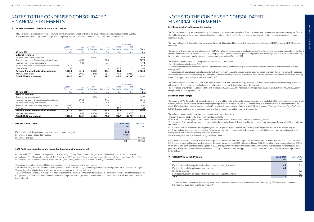| <b>8. EXCEPTIONAL ITEMS</b>                                         | <b>June 2021</b> | June 2020 |
|---------------------------------------------------------------------|------------------|-----------|
|                                                                     | €m               | €m        |
|                                                                     |                  |           |
| Profit on disposal of equity accounted investee and impairment gain | 82.2             |           |
| Impairment of equity accounted investee                             | (105.6)          |           |
| Impairment charges                                                  |                  | (176.6)   |
|                                                                     | (23.4)           | 176.6)    |

#### **2021 Profit on disposal of equity accounted investee and impairment gain**

In June 2021 ESB completed the disposal of its shareholding in Tilbury Green Power Holdings Limited (Tilbury) to Lakeside BidCo Limited (a consortium of Altri / Greenvolt and Equitix). The Group was a 47% partner in Tilbury, a joint arrangement formed with Green Investment Bank (47%) and Scandinavian equipment suppliers BWSC and AET (6%). Tilbury operates a waste wood to energy plant in Great Britain.

The gain arising on the disposal of ESB's shareholding in Tilbury comprises of two components:

- €3.2 million, being the difference between the proceeds received for the equity shareholding held less its carrying value of €nil at the date of disposal. The carrying value reflects share of joint venture losses recognised in previous periods; and

- €79.0 million impairment gain in respect of shareholder loans to Tilbury. The impairment gain includes the reversal of expected credit losses previously recognised in the income statement and interest income not previously recognised as the loans were accounted for under IFRS 9 as a stage 3 credit impaired asset.

### **2021 Impairment of equity accounted investee**

The Group's interests in the net assets are included as investments in joint ventures on the face of the consolidated balance sheet at an amount representing the Group's share of the fair values of the net assets at acquisition plus goodwill, acquisition costs, the Group's share of post-acquisition retained income and expenses, less any impairment charge.

The carrying value as at 30 June 2021 prior to the impairment test was €243.1 million reflecting initial equity investment and movements thereafter relating to translation differences, the Group's share of loss after tax and fair value movements on cash flow hedges (net of deferred tax). The recoverable amount has been assessed as €137.5 million as at 30 June 2021. This has resulted in an impairment charge of €105.6 million (30 June 2020: €nil) being recorded as an exceptional item in 2021.

The Neart na Gaoithe (UK) project is being constructed through NNG Windfarm Holdings Limited, a joint arrangement between ESBIIUK Limited and EDF Renewables UK Limited.

The purpose of this joint arrangement is to develop a 448 MW wind farm off the east coast of Scotland. As a result of delays to the project and an expectation of significant additional construction costs (primarily due to more challenging sea-bed conditions than anticipated) an impairment test of the carrying value of the Neart na Gaoithe project included within investments in equity accounted investees was performed as at 30 June 2021.

The main assumptions used in performing the impairment test are outlined below: - Most likely Commercial Operation Date.

- Forecast cash outflows to Commercial Operation Date are based on equity contributions required to fund construction and financing costs to completion (including contingencies).

- Forecast cash inflows are based on the future dividend stream from Neart na Gaoithe once commercial operation has commenced, which is in turn driven by forecasted wind load factors, regulatory support during the Contract for Difference period, operating and maintenance costs, forecast rates of inflation and forward prices for electricity. - Selection of appropriate risk-adjusted discount rate (5.25%).

### **2020 Impairment charges**

The impact of COVID-19 on electricity demand in the short term, in addition to lower forecast wholesale electricity margins in both the GB market and the Integrated Single Electricity Market (I-SEM) were the indicators that prompted impairment reviews as at 30 June 2020. Impairment reviews were undertaken in respect of the following assets; I-SEM thermal and onshore windfarm assets, GB thermal, onshore and offshore windfarm assets. With the exception of Carrington Combined Cycle Gas Turbine (CCGT), the recoverable amount of each asset was higher than the value in use and no impairments were noted.

The main assumptions used in preparing the impairment reviews are outlined below: -The cash flow period used is to the end of each individual asset's life. -Specific discount rates are applied to each class of asset and applied to their cash inflows and outflows in determining the NPV. -Forecast cash inflows for each asset and generation plant are based on the forecasted running profiles for the plants, regulatory support, forward prices for electricity, gas and carbon.

-Forecast cash outflows reflect the forecast operating and capital expenditure plans based on the Board approved five-year business plans and ten-year long term asset plans updated for management's latest view. Thereafter, forecast cash outflows are extrapolated based on forecast inflation rates, forecast running profile and management's view of required operating and capital expenditure. -Sensitivity analysis is performed in respect of significant assumptions.

Carrington is an 880MW Combined Cycle Gas Turbines plant in the Generation and Trading segment located in Great Britain (GB). It was commissioned in September 2016. A value in use calculation was used to determine the recoverable amount as €401.0 million as at 30 June 2020. This resulted in an impairment charge of €176.6 million (2019: €nil) being recorded in operating costs in 2020. The impairment reflected lower forecasted demand resulting in lower day ahead power prices and lower peak prices, both resulting in lower forecasted revenue and margins. The real discount rate applied to the projected cash flows to determine the NPV was a pre-tax rate of 6.1% (2019: 6.1%).

### **9. OTHER OPERATING INCOME**

### **7. REVENUE FROM CONTRACTS WITH CUSTOMERS**

IFRS 15 requires disclosure to reflect the nature, timing, amount and uncertainty of its revenue within its disclosure requirements. ESB has determined that the disaggregation using existing segments and the nature of revenues is appropriate for its circumstances.

|                                                     | Customer<br>Solutions    | <b>ESB</b><br><b>Networks</b> | Generation<br>& Trading  | <b>NIE</b><br><b>Networks</b> | Other<br>Segments | Consolidation<br>and<br>eliminations | <b>Total</b> |
|-----------------------------------------------------|--------------------------|-------------------------------|--------------------------|-------------------------------|-------------------|--------------------------------------|--------------|
| 30 June 2021                                        | $\epsilon$ m             | $\epsilon$ m                  | $\epsilon$ m             | €m                            | €m                | €m                                   | €m           |
| <b>External revenues</b>                            |                          |                               |                          |                               |                   |                                      |              |
| Revenue from power generation                       |                          | $\overline{\phantom{a}}$      | 282.5                    |                               |                   | $\overline{\phantom{a}}$             | 282.5        |
| Revenue from Use of System charges to customers     | $\overline{\phantom{0}}$ | 430.9                         | $\overline{\phantom{0}}$ | 127.0                         | -                 | $\overline{\phantom{0}}$             | 557.9        |
| Revenue from supply contributions                   | -                        | 30.9                          | $\overline{\phantom{0}}$ | 9.1                           |                   |                                      | 40.0         |
| Revenue from sales to electricity and gas customers | 1.244.4                  | $\overline{\phantom{a}}$      | $\overline{\phantom{0}}$ | -                             |                   | $\overline{\phantom{0}}$             | 1.244.4      |
| Other revenue                                       | 15.3                     | $\overline{\phantom{a}}$      |                          |                               | 13.4              |                                      | 28.7         |
| Revenue from contracts with customers               | 1.259.7                  | 461.8                         | 282.5                    | 136.1                         | 13.4              | ۰                                    | 2,153.5      |
| Inter-segment revenue                               | 16.1                     | 205.3                         | 437.2                    | 26.1                          | 44.1              | (828.8)                              |              |
| <b>Total ESB Group revenue</b>                      | 1,275.8                  | 667.1                         | 719.7                    | 162.2                         | 157.5             | (828.8)                              | 2,153.5      |

| 30 June 2020                                        | Customer<br>Solutions<br>€m | <b>ESB</b><br><b>Networks</b><br>€m | Generation<br>& Trading<br>€m | <b>NIE</b><br><b>Networks</b><br>€m | Other<br><b>Segments</b><br>€m | Consolidation<br>and<br>eliminations<br>€m | Total<br>€m |
|-----------------------------------------------------|-----------------------------|-------------------------------------|-------------------------------|-------------------------------------|--------------------------------|--------------------------------------------|-------------|
| <b>External revenues</b>                            |                             |                                     |                               |                                     |                                |                                            |             |
| Revenue from power generation                       |                             | $\overline{\phantom{0}}$            | 147.5                         |                                     |                                | -                                          | 147.5       |
| Revenue from Use of System charges to customers     | $\overline{\phantom{a}}$    | 376.8                               | $\overline{\phantom{a}}$      | 144.5                               |                                | -                                          | 521.3       |
| Revenue from supply contributions                   | $\overline{\phantom{a}}$    | 27.5                                | $\overline{\phantom{a}}$      | 8.3                                 | -                              | -                                          | 35.8        |
| Revenue from sales to electricity and gas customers | 1,100.0                     | -                                   | $\overline{\phantom{a}}$      | $\overline{\phantom{a}}$            |                                | -                                          | 1,100.0     |
| Other revenue                                       | 31.5                        | $\overline{\phantom{a}}$            | $\overline{\phantom{0}}$      | $\overline{\phantom{a}}$            | 13.7                           | -                                          | 45.2        |
| Revenue from contracts with customers               | 1,131.5                     | 404.3                               | 147.5                         | 152.8                               | 13.7                           | ۰                                          | 1,849.8     |
| Inter-segment revenue                               | 2.4                         | 183.8                               | 498.0                         | 19.6                                | 154.0                          | (857.8)                                    |             |
| <b>Total ESB Group revenue</b>                      | 1,133.9                     | 588.1                               | 645.5                         | 172.4                               | 167.7                          | (857.8)                                    | 1.849.8     |

### NOTES TO THE CONDENSED CONSOLIDATED FINANCIAL STATEMENTS

| <b>OTHER OPERATING INCOME</b>                                                          | <b>June 2021</b> | June 2020     |
|----------------------------------------------------------------------------------------|------------------|---------------|
|                                                                                        | €m               | $\epsilon$ m  |
|                                                                                        |                  |               |
| Profit on disposal of property, plant and equipment and intangible assets              | 0.2              | 0.1           |
| Profit on disposal of equity accounted investees                                       | 3.2              |               |
| Dividends received                                                                     |                  | $0.5^{\circ}$ |
| Fair value movements on assets held at fair value through profit and loss <sup>1</sup> |                  | 6.2           |
| Total                                                                                  | 3.4              | 6.8           |

1 These fair value movements relate to adjustments to the value of investments in renewables enterprises held by ESB Novusmodus Limited Partnership, a subsidiary, as detailed in note14.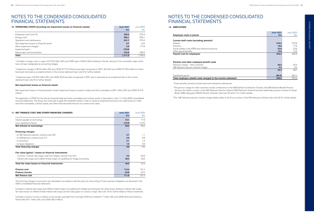| <b>11. NET FINANCE COST AND OTHER FINANCING CHARGES</b>                              |        | June 2020    |  |
|--------------------------------------------------------------------------------------|--------|--------------|--|
|                                                                                      | €m     | $\epsilon$ m |  |
| Interest payable on borrowings                                                       | 70.1   | 77.9         |  |
| Less capitalised interest                                                            | (10.9) | (12.5)       |  |
| Net interest on borrowings                                                           | 59.2   | 65.4         |  |
| <b>Financing charges:</b>                                                            |        |              |  |
| - on NIE Networks pension scheme (note 20)                                           | 0.7    | 1.1          |  |
| - on ESB pension scheme (note 21)                                                    | 2.8    | 9.8          |  |
| - on provisions                                                                      | 2.1    | 1.2          |  |
| - on lease obligations                                                               | 1.0    | 0.9          |  |
| <b>Total financing charges</b>                                                       | 6.6    | 13.0         |  |
| Fair value (gains) / losses on financial instruments:                                |        |              |  |
| - currency / interest rate swaps: cash flow hedges, transfer from OCI                | 2.3    | (0.3)        |  |
| - interest rate swaps and inflation-linked swaps not qualifying for hedge accounting | 46.3   | 53.6         |  |
| Total fair value losses on financial instruments                                     | 48.6   | 53.3         |  |
| <b>Finance cost</b>                                                                  | 114.4  | 131.7        |  |
| <b>Finance income</b>                                                                | (2.6)  | (0.7)        |  |
| <b>Net finance cost</b>                                                              | 111.8  | 131.0        |  |

The financing charges on provisions are calculated in accordance with the policy for discounting of future payment obligations as disclosed in the 2020 consolidated financial statements.

Included in interest rate swaps and inflation-linked swaps not qualifying for hedge accounting are fair value losses relating to interest rate swaps, fair value losses on inflation-linked interest rate swaps and fair value gains on currency swaps. See note 19 for further details of these movements. <sup>2</sup>The pension charge for other schemes include contributions to the ESB Defined Contribution Scheme, the ESB Defined Benefit Pension Scheme, the Options section of the NIE Networks Pension Scheme (NIE Networks Scheme) and the stakeholder pension scheme for Great Britain (GB) employees (FMUK Pension Scheme). See note 20 and 21 for further details.

<sup>3</sup>The NIE Networks pension scheme charge relates solely to the Focus section of the NIE Networks Scheme. See note 20 for further details.

Included in finance income is interest on borrowings receivable from Inchcape Offshore Limited €1.7 million (30 June 2020: €nil) and Oweninny Power DAC €0.1 million (30 June 2020: €0.2 million).

### NOTES TO THE CONDENSED CONSOLIDATED FINANCIAL STATEMENTS

### **12. EMPLOYEES**

### **Employee costs in period**

### **Current staff costs (excluding pension)**

|                                                              | <b>June 2021</b> | June 2020 |
|--------------------------------------------------------------|------------------|-----------|
| <b>Employee costs in period</b>                              | €m               | €m        |
|                                                              |                  |           |
| Current staff costs (excluding pension)                      |                  |           |
| <b>Salaries</b>                                              | 273.3            | 275.8     |
| Overtime                                                     | 16.8             | 17.9      |
| Social welfare costs (PRSI and national insurance)           | 23.8             | 22.8      |
| Other payroll benefits <sup>1</sup>                          | 10.5             | 14.3      |
| <b>Payroll cost for employees</b>                            | 324.4            | 330.8     |
| Pension and other employee benefit costs                     |                  |           |
| Pensions charge $-$ other schemes <sup>2</sup>               | 26.0             | 25.5      |
| NIE Networks pension scheme charge <sup>3</sup>              | 4.3              | 3.2       |
|                                                              | 30.3             | 28.7      |
| Capitalised payroll                                          | (98.5)           | (84.1)    |
| Total employee related costs charged to the income statement | 256.2            | 275.4     |

<sup>3</sup> Impairment gain of €79.0 million (30 June 2020: €nil) has been recognised in 2021 and is disclosed as an exceptional item in the income statement (see note 8 for further details).

#### **Pension and other employee benefit costs**

#### Capitalised payroll

### **Total employee related costs charged to the income statement**

<sup>1</sup>These benefits primarily include travel and subsistence allowances.

### NOTES TO THE CONDENSED CONSOLIDATED FINANCIAL STATEMENTS

| 10. OPERATING COSTS (including net impairment losses on financial assets) | <b>June 2021</b> | June 2020                |
|---------------------------------------------------------------------------|------------------|--------------------------|
|                                                                           | €m               | $\epsilon$ m             |
| Employee costs (note 12)                                                  | 256.2            | 275.4                    |
| Energy costs <sup>1</sup>                                                 | 880.1            | 655.1                    |
| Operations and maintenance                                                | 231.7            | 275.4                    |
| Net impairment losses on financial assets                                 | 6.7              | 10.5                     |
| Other impairment charges <sup>2</sup>                                     | 3.6              | 177.6                    |
| Impairment gain <sup>3</sup>                                              | (79.0)           | $\overline{\phantom{a}}$ |
| Depreciation and amortisation                                             | 412.6            | 390.3                    |
| Total                                                                     | 1.711.9          | 1.784.3                  |

1 Included in energy costs is a gain of €12.8 million (30 June 2020: gain of €3.0 million) relating to the fair valuing of fuel commodity swaps which have not been designated as accounting hedges.

2 Impairment charges of €3.6 million (30 June 2020: €177.6 million) have been recognised in 2021, €nil (30 June 2020: €176.6 million) of which have been disclosed as exceptional items in the income statement (see note 8 for further details).

### **Net impairment losses on financial assets**

Net impairment losses on financial assets include impairment losses incurred on trade and other receivables of €6.7 million (30 June 2020: €10.5 million).

The application of IFRS 9 to the Group's financial trade and other receivables and contract assets is described in note 17 of the 2020 consolidated financial statements. The Group has continued to apply the simplified model in order to measure impairment provisions for credit losses on trade and other receivables, contract assets, and other financial assets that are not carried at fair value.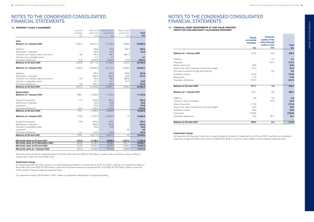### **13. PROPERTY, PLANT & EQUIPMENT**

|                                            | Land and  | Plant and | Total assets in | Assets under             |              |
|--------------------------------------------|-----------|-----------|-----------------|--------------------------|--------------|
|                                            | buildings | machinery | commission      | construction             | <b>Total</b> |
|                                            | €m        | €m        | $\epsilon$ m    | €m                       | €m           |
|                                            |           |           |                 |                          |              |
| Cost                                       |           |           |                 |                          |              |
| <b>Balance at 1 January 2020</b>           | 1,220.1   | 20,213.1  | 21,433.2        | 1,366.8                  | 22,800.0     |
| Additions                                  |           | 178.5     | 178.5           | 156.7                    | 335.2        |
| Retirements / disposals                    |           | (8.3)     | (8.3)           |                          | (8.3)        |
| Transfers out of assets under construction | 3.8       | 85.3      | 89.1            | (89.1)                   |              |
| Transfers from intangible assets           |           | 0.1       | 0.1             |                          | 0.1          |
| Translation differences                    | (1.3)     | (356.9)   | (358.2)         | (2.0)                    | (360.2)      |
| Balance at 30 June 2020                    | 1,222.6   | 20,111.8  | 21,334.4        | 1,432.4                  | 22,766.8     |
|                                            |           |           |                 |                          |              |
| <b>Balance at 1 January 2021</b>           | 1,240.8   | 20,890.6  | 22,131.4        | 1,303.3                  | 23,434.7     |
| Additions                                  |           | 190.3     | 190.3           | 182.6                    | 372.9        |
| Retirements / disposals                    |           | (36.7)    | (36.7)          | (0.8)                    | (37.5)       |
| Transfers out of assets under construction | 5.6       | 82.6      | 88.2            | (88.2)                   |              |
| Transfers to intangible assets             |           | (0.1)     | (0.1)           | (0.7)                    | (0.8)        |
| Translation differences                    | 0.9       | 233.1     | 234.0           |                          | 234.0        |
| Balance at 30 June 2021                    | 1,247.3   | 21,359.8  | 22,607.1        | 1,396.2                  | 24,003.3     |
|                                            |           |           |                 |                          |              |
| <b>Depreciation</b>                        |           |           |                 |                          |              |
| <b>Balance at 1 January 2020</b>           | 699.1     | 11,023.5  | 11,722.6        |                          | 11,722.6     |
| Charge for the period                      | 11.2      | 343.0     | 354.2           |                          | 354.2        |
| Retirements / disposals                    |           | (8.3)     | (8.3)           |                          | (8.3)        |
| Impairment                                 |           | 176.6     | 176.6           |                          | 176.6        |
| Translation differences                    | (0.2)     | (148.4)   | (148.6)         | $\overline{\phantom{a}}$ | (148.6)      |
| Balance at 30 June 2020                    | 710.1     | 11,386.4  | 12,096.5        |                          | 12,096.5     |
|                                            |           |           |                 |                          |              |
| <b>Balance at 1 January 2021</b>           | 718.8     | 11,784.2  | 12,503.0        | 1.6                      | 12,504.6     |
| Charge for the period                      | 10.8      | 364.9     | 375.7           |                          | 375.7        |
| Retirements / disposals                    |           | (36.5)    | (36.5)          | $\overline{\phantom{a}}$ | (36.5)       |
| Transfers to intangible assets             |           | (5.6)     | (5.6)           | $\overline{a}$           | (5.6)        |
| Impairment                                 |           |           |                 | 3.6                      | 3.6          |
| Translation differences                    | 0.1       | 104.5     | 104.6           |                          | 104.6        |
| Balance at 30 June 2021                    | 729.7     | 12,211.5  | 12,941.2        | 5.2                      | 12,946.4     |
|                                            |           |           |                 |                          |              |
| Net book value at 30 June 2021             | 517.6     | 9,148.3   | 9,665.9         | 1,391.0                  | 11,056.9     |
| Net book value at 31 December 2020         | 522.0     | 9,106.4   | 9,628.4         | 1,301.7                  | 10,930.1     |
| Net book value at 30 June 2020             | 512.5     | 8,725.4   | 9,237.9         | 1,432.4                  | 10,670.3     |
| Net book value at 1 January 2020           | 521.0     | 9.189.6   | 9.710.6         | 1,366.8                  | 11,077.4     |
|                                            |           |           |                 |                          |              |

During the period the Group capitalised interest of €10.9 million (30 June 2020: €12.5 million) in assets under construction, using an effective interest rate of 2.4% (30 June 2020: 2.5%).

### **Impairment charge**

An impairment review has been carried out on assets displaying indications of impairment as at 30 June 2021 resulting in an impairment charge of €3.6 million (30 June 2020: €176.6 million) of which €nil has been disclosed as exceptional (30 June 2020: €176.6 million). Refer to note 8 for further details on these exceptional impairment items.

The impairment charge of €3.6 million in 2021 relates to a generation development no longer proceeding.

### NOTES TO THE CONDENSED CONSOLIDATED FINANCIAL STATEMENTS

### NOTES TO THE CONDENSED CONSOLIDATED FINANCIAL STATEMENTS

### **14. FINANCIAL ASSET INVESTMENTS AT FAIR VALUE THROUGH PROFIT OR LOSS AND EQUITY ACCOUNTED INVESTEES**

### **Balance at 1 January 2020**

| Additions                                        |
|--------------------------------------------------|
| Disposals                                        |
| Share of loss (net)                              |
| Share of fair value movement on cash flow hedges |
| Fair value movement through profit and loss      |
| Dividends received                               |
| Repayments                                       |
| Translation differences                          |
|                                                  |

### **Balance at 30 June 2020**

### **Balance at 1 January 2021**

### **Balance at 30 June 2021**

|                                                  | <b>Equity</b><br>accounted<br><b>investees</b> | <b>Financial</b><br>assets at fair<br>value through<br>profit or loss | <b>Total</b> |
|--------------------------------------------------|------------------------------------------------|-----------------------------------------------------------------------|--------------|
|                                                  | €m                                             | $\epsilon$ m                                                          | €m           |
| <b>Balance at 1 January 2020</b>                 | 413.5                                          | 13.4                                                                  | 426.9        |
| Additions                                        |                                                | 0.7                                                                   | 0.7          |
| Disposals                                        |                                                | (12.7)                                                                | (12.7)       |
| Share of loss (net)                              | (3.6)                                          |                                                                       | (3.6)        |
| Share of fair value movement on cash flow hedges | (3.1)                                          |                                                                       | (3.1)        |
| Fair value movement through profit and loss      |                                                | 6.2                                                                   | 6.2          |
| Dividends received                               | (10.5)                                         |                                                                       | (10.5)       |
| Repayments                                       | (1.5)                                          |                                                                       | (1.5)        |
| <b>Translation differences</b>                   | (23.7)                                         |                                                                       | (23.7)       |
| <b>Balance at 30 June 2020</b>                   | 371.1                                          | 7.6                                                                   | 378.7        |
| <b>Balance at 1 January 2021</b>                 | 378.1                                          | 8.6                                                                   | 386.7        |
| Additions                                        | 4.6                                            | 0.2                                                                   | 4.8          |
| Transfer to other receivables                    |                                                | (3.3)                                                                 | (3.3)        |
| Share of loss (net)                              | (17.6)                                         |                                                                       | (17.6)       |
| Share of fair value movement on cash flow hedges | 34.0                                           |                                                                       | 34.0         |
| Dividends received                               | (3.3)                                          |                                                                       | (3.3)        |
| Impairment                                       | (105.6)                                        |                                                                       | (105.6)      |
| <b>Translation differences</b>                   | 16.2                                           | (0.1)                                                                 | 16.1         |
| Balance at 30 June 2021                          | 306.4                                          | 5.4                                                                   | 311.8        |

#### **Impairment charge**

An impairment test has been carried out on assets displaying indications of impairment as at 30 June 2021 resulting in an exceptional impairment charge of €105.6 million (30 June 2020: €nil). Refer to note 8 for further details on the exceptional impairment item.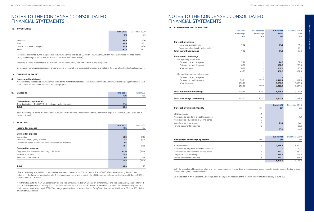#### **15. INVENTORIES**

|                               | <b>June 2021</b> | December 2020 |
|-------------------------------|------------------|---------------|
|                               | $\epsilon$ m     | $\epsilon$ m  |
|                               |                  |               |
| Materials                     | 37.5             | 36.6          |
| Fuel                          | 36.0             | 37.1          |
| Construction work in progress | 86.9             | 86.4          |
| <b>Total</b>                  | 160.4            | 160.1         |

Inventories consumed during the period ended 30 June 2021 totalled €51.9 million (30 June 2020: €24.6 million). Provision for impairments recognised during the period was €0.3 million (30 June 2020: €0.4 million).

Following a survey of coal stocks, €3.6 million (30 June 2020: €nil) was written back during the period.

Construction work in progress includes property assets which are being constructed for resale and stated at the lower of cost and net realisable value.

### **16. CHANGES IN EQUITY**

### **(i) Non-controlling interest**

Non-controlling interests at 30 June 2021 relate to the minority shareholdings in Crockahenny Wind Farm DAC, Mountain Lodge Power DAC, and other companies associated with wind and solar projects.

| (ii) | <b>Dividends</b>                                                  | <b>June 2021</b> | June 2020    |
|------|-------------------------------------------------------------------|------------------|--------------|
|      |                                                                   | €m               | $\epsilon$ m |
|      | Dividends on capital stock:                                       |                  |              |
|      | Total dividend paid 4.13 (2020: nil) cents per capital stock unit | 80.8             |              |
|      | <b>Total</b>                                                      | 80.8             |              |

Total dividends paid during the period ended 30 June 2021 included a final dividend of €80.8 million in respect of 2020 (30 June 2020: €nil in respect of 2019).

### **17. TAXATION**

|                                                               | <b>June 2021</b> | June 2020 |
|---------------------------------------------------------------|------------------|-----------|
| Income tax expense                                            | $\epsilon$ m     | €m        |
|                                                               |                  |           |
| <b>Current tax expense</b>                                    |                  |           |
| Current tax                                                   | 52.2             | 28.8      |
| Prior year under / (over) provision                           | 0.3              | (3.2)     |
| Value of tax losses surrendered to equity accounted investees | 1.6              |           |
|                                                               | 54.1             | 25.6      |
| Deferred tax expense                                          |                  |           |
| Origination and reversal of temporary differences             | (3.6)            | (34.0)    |
| Increase in tax rate <sup>1</sup>                             | 29.5             | 11.3      |
| Prior year under provision                                    | 1.6              | 0.8       |
|                                                               | 27.5             | (21.9)    |
|                                                               |                  |           |
| <b>Total</b>                                                  | 81.6             | 3.7       |

1 The substantively enacted UK corporation tax rate was increased from 17% to 19% on 1 April 2020, effectively cancelling the proposed reduction in the future corporation tax rate. This change gave rise to an increase in the UK Group's net deferred tax liability as at 30 June 2020 in the amount of €11.3 million.

A further change to the main UK corporation tax rate was announced in the UK Budget on 3 March 2021 and was substantively enacted for IFRS and UK GAAP purposes on 24 May 2021. The rate applicable for now and until 31 March 2023 remains at 19%. The 25% tax rate applies to profits earned on or after 1 April 2023. This change gave rise to an increase in the UK Group's net deferred tax liability as at 30 June 2021 in the amount of €29.5 million.

### **18. BORROWINGS AND OTHER DEBT**

|                                             | Recourse   | Non-recourse   | <b>June 2021</b> | December 2020 |
|---------------------------------------------|------------|----------------|------------------|---------------|
|                                             | borrowings | borrowings     | <b>Total</b>     | Total         |
|                                             | €m         | €m             | $\epsilon$ m     | €m            |
| <b>Current borrowings</b>                   |            |                |                  |               |
| - Repayable by instalments                  | 74.2       |                | 74.2             | 74.5          |
| - Repayable other than by instalments       |            |                |                  | 55.1          |
| <b>Total current borrowings</b>             | 74.2       |                | 74.2             | 129.6         |
| <b>Non-current borrowings</b>               |            |                |                  |               |
| - Repayable by instalments                  |            |                |                  |               |
| Between one and two years                   | 74.8       |                | 74.8             | 71.4          |
| Between two and five years                  | 182.8      |                | 182.8            | 200.3         |
| After five years                            | 200.9      |                | 200.9            | 235.9         |
|                                             | 458.5      |                | 458.5            | 507.6         |
| - Repayable other than by instalments       |            |                |                  |               |
| Between one and two years                   |            |                |                  |               |
| Between two and five years                  | 538.1      | 872.0          | 1,410.1          | 919.8         |
| After five years                            | 3,259.9    |                | 3,259.9          | 3,686.6       |
|                                             | 3,798.0    | 872.0          | 4,670.0          | 4,606.4       |
| <b>Total non-current borrowings</b>         | 4,256.5    | 872.0          | 5,128.5          | 5,114.0       |
| <b>Total borrowings outstanding</b>         | 4,330.7    | 872.0          | 5,202.7          | 5,243.6       |
|                                             |            |                |                  |               |
|                                             |            |                | <b>June 2021</b> | December 2020 |
| <b>Current borrowings by facility</b>       |            | <b>Ref</b>     | €m               | €m            |
| <b>ESB Eurobonds</b>                        |            | 1              |                  |               |
| Non-recourse long-term project finance debt |            | $\overline{2}$ |                  | 1.9           |
| Non-recourse NIE Networks Sterling bonds    |            | 3              |                  |               |
| Long-term bank borrowings                   |            | 4              | 74.2             | 72.1          |
| Private placement borrowings                |            | 5              |                  | 55.6          |
|                                             |            |                | 74.2             | 129.6         |

|  |  | Non-current borrowings by facility |  |  |
|--|--|------------------------------------|--|--|
|--|--|------------------------------------|--|--|

| <b>ESB Eurobonds</b>                        |
|---------------------------------------------|
| Non-recourse long-term project finance debt |
| Non-recourse NIE Networks Sterling bonds    |
| Long-term bank borrowings                   |
| Private placement borrowings                |

|                                             |            | <b>June 2021</b> | December 2020 |  |
|---------------------------------------------|------------|------------------|---------------|--|
| Non-current borrowings by facility          | <b>Ref</b> | €m               | $\epsilon$ m  |  |
|                                             |            |                  |               |  |
| <b>ESB Eurobonds</b>                        |            | 3,559.6          | 3,542.1       |  |
| Non-recourse long-term project finance debt | ∩          |                  | 10.1          |  |
| Non-recourse NIE Networks Sterling bonds    | 3          | 872.0            | 832.7         |  |
| Long-term bank borrowings                   |            | 454.9            | 494.8         |  |
| Private placement borrowings                | 5          | 242.0            | 234.3         |  |
|                                             |            | 5.128.5          | 5.114.0       |  |

With the exception of borrowings relating to non-recourse project finance debt, which is secured against specific assets, none of the borrowings are secured against the Group assets.

ESB was rated A- from Standard & Poor's (outlook stable) and A3 (equivalent to A-) from Moody's (outlook stable) at June 2021.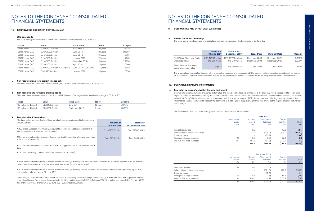| <b>Issuer</b>          | <b>Value</b>                               | <b>Issue Date</b>     | <b>Tenor</b> | <b>Coupon</b> |
|------------------------|--------------------------------------------|-----------------------|--------------|---------------|
| <b>ESB Finance DAC</b> | Euro €300.0 million                        | November 2013         | 10 years     | 3.494%        |
| <b>ESB Finance DAC</b> | Euro €500.0 million                        | June 2015             | 12 years     | 2.125%        |
| <b>ESB Finance DAC</b> | Euro $€600.0$ million                      | June 2016             | 15 years     | 1.875%        |
| <b>ESB Finance DAC</b> | Euro €500.0 million                        | January 2017          | 12 years     | 1.750%        |
| <b>ESB Finance DAC</b> | Euro €500.0 million                        | November 2018         | 15 years     | 2.125%        |
| <b>ESB Finance DAC</b> | Euro $€100.0$ million                      | April 2019            | 25 years     | 2.000%        |
| <b>ESB Finance DAC</b> | Euro $\epsilon$ 700.0 million (Green bond) | June 2019 / July 2020 | 11 years     | 1.125%        |
| <b>ESB Finance DAC</b> | Stg £325.0 million                         | January 2020          | 15 years     | 1.875%        |

#### **1. ESB Eurobonds**

The table below provides details of ESB Eurobonds included in borrowings at 30 June 2021:

#### **4. Long-term bank borrowings**

| The table below provides details of long-term bank borrowings included in borrowings at<br>30 June 2021:                               | <b>Balance at</b><br>30 June 2021 | <b>Balance at</b><br><b>31 December 2020</b> |
|----------------------------------------------------------------------------------------------------------------------------------------|-----------------------------------|----------------------------------------------|
| €200 million European Investment Bank (EIB) to support renewable connections to the<br>electricity network in the southwest of Ireland | Euro $\epsilon$ 200.0 million     | Euro $\epsilon$ 200.0 million                |
| Other Long term bank borrowings of floating rate debt borrowed on a bilateral basis (apart<br>from above $\in$ 200 million)            | Euro €27.1 million                | Euro $€43.7$ million                         |
| €150.0 million European Investment Bank (EIB) to support the roll out of Smart Meters in<br>Ireland                                    |                                   |                                              |
| $\epsilon$ 1.4 billion revolvoing credit facility (with a syndicate of 14 banks)                                                       |                                   |                                              |

### **18. BORROWINGS AND OTHER DEBT (Continued)**

### NOTES TO THE CONDENSED CONSOLIDATED FINANCIAL STATEMENTS

#### **2. Non-recourse long-term project finance debt**

This debt relates to a wind farm in Great Britain (GB). This has been fully repaid as at 30 June 2021.

A €200.0 million facility with the European Investment Bank (EIB) to support renewable connections to the electricity network in the southwest of Ireland was drawn down in full at 30 June 2021 (December 2020: €200.0 million).

A €150.0 million facility with the European Investment Bank (EIB) to support the roll out of Smart Meters in Ireland was signed in August 2020 and remained fully undrawn at 30 June 2021.

In February 2020 ESB entered into a new €1.4 billion Sustainability linked Revolving Credit Facility up to February 2025 with a group of fourteen international banks. This replaced the previous €1.44 billion facility signed in 2015. In February 2021, the facility was extended to February 2026. €nil of this facility was drawdown at 30 June 2021 (December 2020: €nil).

### **3. Non-recourse NIE Networks Sterling bonds**

The table below provides details of non-recourse NIE Networks Sterling bonds included in borrowings at 30 June 2021:

| <b>Issuer</b>        | Value              | <b>Issue Date</b> | Tenor    | <b>Coupon</b> |
|----------------------|--------------------|-------------------|----------|---------------|
| NIE Networks Limited | Sta £400.0 million | June 2011         | 15 vears | 6.375%        |
| NIE Networks Limited | Stg £350.0 million | September 2018    | vears    | 2.500%        |

### **19. DERIVATIVE FINANCIAL INSTRUMENTS**

### **(a) Fair value by class of derivative financial instrument**

Derivative financial instruments are carried at fair value. The fair value of a financial instrument is the price that would be received to sell an asset or paid to transfer a liability in an orderly transaction between market participants at the measurement date. The method used to calculate the fair value of the Group's financial instruments is discounted cash flow analysis, using a LIBOR discount rate and reflecting counterparty credit risk. This method enables the Group to discount the cash flows at a rate equal to the prevailing market rate of interest taking into account maturity and credit margin.

The fair values of financial instruments, grouped by class of instrument, are as follows:

|                                                             | <b>June 2021</b>      |                   |                            |                               |                  |
|-------------------------------------------------------------|-----------------------|-------------------|----------------------------|-------------------------------|------------------|
|                                                             | Non-current<br>assets | Current<br>assets | Non-current<br>liabilities | Current<br><b>liabilities</b> | <b>Total</b>     |
|                                                             | €m                    | €m                | €m                         | $\epsilon$ m                  | €m               |
| Interest rate swaps<br>Inflation-linked interest rate swaps | -                     | 0.2               | (618.0)                    | (2.6)<br>(26.7)               | (2.4)<br>(644.7) |
| Currency swaps                                              |                       |                   | (23.4)                     |                               | (23.4)           |
| Foreign exchange contracts                                  | 2.0                   | 9.0               | (5.6)                      | (2.3)                         | 3.1              |
| Forward fuel price contracts                                | 9.1                   | 751.3             | (27.8)                     | (727.7)                       | 4.9              |
|                                                             | 11.1                  | 760.5             | (674.8)                    | (759.3)                       | (662.5)          |

|                                      |                       |                          | December 2020              |                               |               |
|--------------------------------------|-----------------------|--------------------------|----------------------------|-------------------------------|---------------|
|                                      | Non-current<br>assets | Current<br>assets        | Non-current<br>liabilities | Current<br><b>liabilities</b> | Total         |
|                                      | €m                    | €m                       | €m                         | €m                            | $\epsilon$ m  |
|                                      |                       |                          |                            |                               |               |
| Interest rate swaps                  | 3.4                   | 0.4                      | (1.6)                      |                               | $2.2^{\circ}$ |
| Inflation-linked interest rate swaps |                       | $\overline{\phantom{a}}$ | (571.3)                    | (21.2)                        | (592.5)       |
| Currency swaps                       |                       |                          | (19.4)                     |                               | (19.4)        |
| Foreign exchange contracts           | 1.4                   | 2.7                      | (3.5)                      | (4.6)                         | (4.0)         |
| Forward fuel price contracts         | 3.5                   | 166.5                    | (9.1)                      | (166.9)                       | (6.0)         |
|                                      | 8.3                   | 169.6                    | (604.9)                    | (192.7)                       | (619.7)       |

### NOTES TO THE CONDENSED CONSOLIDATED FINANCIAL STATEMENTS

### **18. BORROWINGS AND OTHER DEBT (Continued)**

#### **5. Private placement borrowings**

The table below provides details of private placement borrowings included in borrowings at 30 June 2021:

|                                                    | <b>Balance at</b><br>30 June 2021      | <b>Balance at 31</b><br>December 2020  | <b>Issue Date</b>              | <b>Maturity Date</b>           | <b>Coupon</b>    |
|----------------------------------------------------|----------------------------------------|----------------------------------------|--------------------------------|--------------------------------|------------------|
| First Private Placement Senior<br>unsecured notes  | USD \$273.5 million<br>Stg £10 million | USD \$273.5 million<br>Sta £10 million | December 2003<br>December 2003 | December 2023<br>December 2023 | 6.050%<br>6.000% |
| Second Private Placement<br>Senior unsecured notes | Stg £nil                               | Stg £50 million                        | June 2009                      | June 2021                      | 7.310%           |

The private placement debt and certain other facilities have conditions which require ESB to maintain certain interest cover and asset covenants. At 30 June 2021 ESB is fully in compliance with all the covenant requirements associated with the private placement debt and other facilities.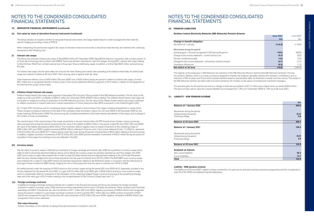### **19. DERIVATIVE FINANCIAL INSTRUMENTS (continued)**

### **(a) Fair value by class of derivative financial instrument (continued)**

The Group decides at inception whether to designate financial instruments into hedge relationships for certain arrangements that meet the specific hedging accounting criteria of IFRS 9.

When interpreting the positive and negative fair values of derivative financial instruments, it should be noted that they are matched with underlying transactions with offsetting risks.

### **(i) Interest rate swaps**

The Group has executed interest rate swaps of Stg £395.0 million (31 December 2020: Stg £454.0 million) in connection with a certain portion of its fixed rate borrowings held by Parent and ESBNI. These have all been classified as cash flow hedges. During 2021, interest rate swaps relating to West Durham Wind Farm Limited matured due to the project finance debt being repaid. In addition, a further Stg £50.0 million matured during the year.

For interest rate swaps, the fair value takes into account the fixed, floating and market rates prevailing at the balance sheet date. As interest rate swaps are marked to market at 30 June 2021, their carrying value is equal to their fair value.

Total movement reflects a loss of €4.6 million (30 June 2020: loss of €2.6 million) during the period in relation to interest rate swaps, of which €6.1 million loss is recognised directly in finance costs in the income statement offset by a payment of €1.5 million in relation to the repayment of the West Durham project finance debt.

#### **(ii) Inflation-linked interest rate swaps**

Inflation-linked interest rate swaps were acquired in December 2010 as part of the purchase of the NIE Networks business. The fair value of the swaps as at 30 June 2021 is a liability of €644.7 million (31 December 2020: €592.5 million liability). The inflation-linked interest rate swaps did not qualify for hedge accounting on acquisition of the NIE Networks business. The fair value of the inflation-linked interest rate swaps is affected by relative movements in interest rates and in market expectations of future retail price index (RPI) movements in the United Kingdom (UK).

On 12 April 2021 the Group, and its counterparty banks, together agreed a restructuring of the swaps, including amendments to certain terms. These changes included an extension of the date of the mandatory early termination clause from 22 June 2022 to 22 December 2025 for the swaps maturing 22 December 2036. The restructuring also included amendments to the fixed interest rate element of the swaps, and a change to the number of swap counterparties.

No ineffectiveness under the meaning of IFRS 9 arose on the currency swaps during the period (30 June 2020: €nil). Separately, included in the income statement for the period 30 June 2021 is a gain of €7.4 million (30 June 2020: gain of €0.6 million) arising on cross-currency swaps which is substantially offset by movements in the translation of the underlying hedged foreign currency borrowings at the prevailing exchange rates and a fair value gain of €1.0 million relating to the novated element of the Currency Swaps (see note 11).

### **Balance at 30 June 2020**

#### **Balance at 1 January 2021**

### **Balance at 30 June 2021**

The overall impact of the restructuring of the swaps, movements in forward interest rates, UK RPI forward prices, foreign currency exchange rates and payments during the period, increased the fair value of the liability by €52.2 million in the period ended 30 June 2021 (30 June 2020: fair value of the liability decreased by €5.9 million). The movement reflects negative mark to market movements in the underlying swaps of €38.1million (30 June 2020: negative movement €55.8 million), reflected in finance costs in the income statement (note 11) offset by payments of €13.4 million (30 June 2020: €7.7 million) arising under the swaps during the period, including fees of €0.5 million relating to the restructuring. In addition, negative translation movements of €27.5 million (30 June 2020: positive translation movements of €42.2 million) during the period on translation of the swaps from sterling to euro are reflected in the OCI.

**Change in benefit obligation Net deficit at 1 January** 

### **(iii) Currency swaps**

#### **(iv) Foreign exchange contracts**

In addition to foreign exchange contracts entered into in relation to the Group's borrowings, the Group has entered into foreign exchange contracts in relation to energy costs, LTSAs and fuel purchase requirements (which are in US dollar and sterling). These contracts have maturities extending until 2024. Total positive fair value movements of €7.1 million (30 June 2020: negative movements of €26.3 million) were recognised during the period in relation to such foreign exchange contracts, of which a positive €0.1 million (30 June 2020: positive movements of €3.6 million) was recognised through OCI and positive fair value movement of €7.0 million (30 June 2020: negative movement of €29.9 million) was recognised in the income statement.

### **Fair value hierarchy**

Further information on the methods of valuing financial instruments is included in note 22.

The fair value of currency swaps is affected by movements in foreign exchange and interest rates. ESB has a portfolio of currency swaps which relate to both a US private placement debt as well as a Euro Bond, the currency swaps are primarily classified as cash flow hedges. The EUR USD cross-currency swaps were entered into in order to swap US dollar interest and principal payments relating to the US Private Placement debt into euro, thereby hedging the risk on these payments over the years to maturity from 2010 to 2023. The EUR GBP cross-currency swaps were entered into in order to swap EUR interest and principal repayments, relating to the EUR bond raised in connection with the refinancing of Carrington Power Limited into GBP, thereby hedging the risk on these payments over the years to maturity from 2018 to 2028.

### NOTES TO THE CONDENSED CONSOLIDATED FINANCIAL STATEMENTS

#### **21. LIABILITY - ESB PENSION SCHEME**

#### **Balance at 1 January 2020**

|                                  | $\epsilon$ m |
|----------------------------------|--------------|
| <b>Balance at 1 January 2020</b> | 392.6        |
| Movements during the period:     |              |
| Utilised during the period       | (5.7)        |
| Financing charge                 | 9.8          |
| Balance at 30 June 2020          | 396.7        |
|                                  |              |
| <b>Balance at 1 January 2021</b> | 106.3        |
| Movements during the period:     |              |
| Utilised during the period       | (6.2)        |
| Financing charge                 | 2.8          |
| Balance at 30 June 2021          | 102.9        |
|                                  |              |
| <b>Analysed as follows:</b>      |              |
| Non-current liabilities          | 92.2         |
| Current liabilities              | 10.7         |
| Total                            | 102.9        |

#### **Analysed as follows:**

**Non-current liabilities** 

#### **Liability - ESB pension scheme**

The liability as at 30 June 2021 relates to future contributions for past service and past voluntary severance programmes and this is explained in note 24 of the 2020 consolidated financial statements.

### NOTES TO THE CONDENSED CONSOLIDATED FINANCIAL STATEMENTS

### **20. PENSION LIABILITIES**

### **Northern Ireland Electricity Networks (NIE Networks) Pension Scheme**

| <b>June 2020</b> | <b>June 2021</b> |  |
|------------------|------------------|--|
| €m               | $\epsilon$ m     |  |
| (116.0)          | (116.9)          |  |
| (92.5)           | 102.0            |  |
| (3.2)            | (4.3)            |  |
| 14.3             | 14.6             |  |
| (1.1)            | (0.7)            |  |
| 11.3             | (5.3)            |  |
| (187.2)          | (10.6)           |  |

#### Movements during the period:

Actuarial gains / (losses) recognised in OCI during the period Charge to the income statement - current service cost **(4.3)** (3.2) Pension contributions paid Charged to the income statement - net pension scheme interest **Translation differences Net deficit at 30 June** 

The majority of the employees in NIE Networks are members of the NIE Networks Pension Scheme (the NIE Networks Scheme). This has two sections: Options, which is a money purchase arrangement whereby the employer generally matches the members' contributions up to a maximum of 8% of salary, and Focus which provides benefits based on pensionable salary at retirement or earlier exit from service. The assets of the NIE Networks Scheme are held under trust and invested by the Trustees on the advice of professional investment managers.

The actuarial gains for the period arise due to a change in financial assumptions of €71.4 million and a higher return on assets €30.6 million. The discount rate used to value the scheme liabilities has increased from 1.3% at 31 December 2020 to 1.8% as at 30 June 2021.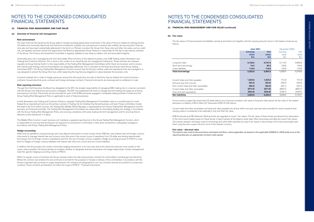### **22. FINANCIAL RISK MANAGEMENT AND FAIR VALUE**

#### **(a) Overview of financial risk management**

#### **Risk environment**

The main financial risks faced by the Group relate to foreign exchange (particularly movements in the value of the euro relative to sterling and the US dollar) and commodity (electricity and fuel) price movements. Liquidity risk, and exposure to interest rate volatility, are key long-term financial risks also, but have been substantially addressed in the short run. Policies to protect the Group from these risks and other risk areas, such as credit risk, are regularly reviewed, revised and approved by the Board as appropriate. Group Treasury is responsible for the day-to-day treasury activities of the Group. The Finance and Investment Committee is regularly updated on key treasury matters, risk and associated mitigants.

Commodity price risk is managed by the front and middle office functions of the relevant business units: ESB Trading (within Generation and Trading) and Customer Solutions. This is done in the context of an overall Group risk management framework. These activities are reviewed regularly by Group Internal Audit. It is the responsibility of the Trading Risk Management Committees within these two business units to ensure that internal audit findings and recommendations are adequately addressed. This is overseen by the Executive Director level Group Trading Committee (GTC). The Group Trading Risk Management function ensures that the Group's market, credit and operational risks are managed in a way designed to protect the Group from loss, while respecting the ring-fencing obligations in place between the business units.

Contracts entered into in order to hedge exposures arising from the production and sale of electricity may be divided into forward fuel price contracts, forward electricity price contracts and foreign exchange contracts. Financial instruments are derecognised on settlement or sale.

#### **Risk reporting structure**

Through the Chief Executive, the Board has delegated to the GTC, the broader responsibility of managing ESB's trading risk in a manner consistent with the Group's risk tolerances and business strategies. The GTC has established risk limits to manage and limit trading risk exposure at Group and business unit level. These limits are documented for each of the ESB businesses engaged in wholesale trading activities. Furthermore the Group Trading Risk Management Policy is applicable to each of these businesses.

In both Generation and Trading and Customer Solutions, separate Trading Risk Management Committees meet on a monthly basis (or more frequently as required) and serve as the primary overseer of trading risk at individual ring-fenced business unit level. These committees include the head of the Front Office function, the Trading Risk (Middle Office) Manager, a representative from Group Trading Risk Management, and the business unit Financial Controller. The Trading Risk Management Committees are responsible for formulating trading risk strategy in accordance with the Group Trading Risk Management Policy and ensuring compliance with same, trading risk limit management, and for ensuring that an effective control framework is in place.

The Middle Office function in each business unit maintains a separate reporting line to the Group Trading Risk Management function, which is responsible for ensuring that the Group's net exposure to movements in commodity or other price movements is adequately managed in accordance with Group Trading Risk Management Policy.

### **Hedge accounting**

ESB funds its operations using borrowings and uses deposit instruments to invest surplus funds. ESB also uses interest rate and foreign currency instruments to manage interest rate and currency risks that arise in the normal course of operations from US dollar and sterling denominated borrowings, from its foreign currency subsidiaries and from the use of foreign currency suppliers. Hedge accounting pursuant to IFRS 9 is used both for hedges of foreign currency liabilities and interest rate risks from current and non-current liabilities.

In addition, the Group enters into certain commodity hedging transactions to fix fuel costs and to link electricity revenues more closely to fuel inputs, where possible. The Group decides at inception whether to designate financial instruments into hedge relationships. Certain arrangements meet the specific hedging accounting criteria of IFRS 9.

Within its regular course of business, the Group routinely enters into sale and purchase contracts for commodities, including gas and electricity. Where the contract was entered into and continues to be held for the purposes of receipt or delivery of the commodities in accordance with the Group's expected sale, purchase or usage requirements, the contracts are designated as own use contracts and are accounted for as executory contracts. These contracts are therefore not within the scope of IFRS 9 - Financial Instruments.

### NOTES TO THE CONDENSED CONSOLIDATED FINANCIAL STATEMENTS

### **22. FINANCIAL RISK MANAGEMENT AND FAIR VALUE (continued)**

#### **(b) Fair value**

The fair values of financial assets and liabilities carried at amortised cost together with the carrying amounts shown in the balance sheet are as follows:

|                                         | <b>June 2021</b> |             | December 2020 |              |
|-----------------------------------------|------------------|-------------|---------------|--------------|
|                                         | <b>Carrying</b>  | <b>Fair</b> | Carrying      | Fair         |
|                                         | value            | value       | value         | value        |
|                                         | €m               | €m          | €m            | $\epsilon$ m |
|                                         |                  |             |               |              |
| Long-term debt                          | 5,128.5          | 5,747.6     | 5,114.0       | 5,983.9      |
| Short-term borrowings                   | 74.2             | 82.5        | 129.6         | 140.9        |
| Lease liabilities                       | 119.9            | 119.9       | 124.8         | 124.8        |
| <b>Total borrowings</b>                 | 5,322.6          | 5,950.0     | 5,368.4       | 6,249.6      |
| Current trade and other payables        | 1,022.6          | 1,022.6     | 731.8         | 731.8        |
| Amounts due from insurers               | (94.2)           | (94.2)      | (94.2)        | (94.2)       |
| Non-current trade and other receivables | (65.0)           | (65.0)      | (55.1)        | (55.1)       |
| Current trade and other receivables     | (977.6)          | (977.6)     | (862.7)       | (862.7)      |
| Cash and cash equivalents               | (552.8)          | (552.8)     | (248.7)       | (248.7)      |
| <b>Net liabilities</b>                  | 4,655.6          | 5,283.0     | 4,839.5       | 5.720.7      |

Cross-currency swaps that swap fixed US dollar debt to euro fixed are included in fair value of long-term debt above, the fair value of the related derivative is a liability of €5.3 million (31 December 2020: €14.8 million).

Current trade and other receivables and trade and other payables are all due within one year, and have been provided for where impaired, their carrying value is considered to be materially in line with their fair value.

ESB Eurobonds and NIE Networks Sterling bonds are regarded as Level 1 fair values. The fair value of these bonds are derived from observation of the most recent traded values for these bonds in liquid markets at the balance sheet date. Other borrowings and debt are Level 2 fair values. The primary valuation technique used for borrowings and other debt classified as Level 2 fair values is discounting of the future associated cash flows using the zero coupon discount curve of the relevant currency.

#### **Fair value - discount rates**

The interest rates used to discount future estimated cash flows, where applicable, are based on the applicable EURIBOR or LIBOR yield curve at the reporting date plus an appropriate constant credit spread.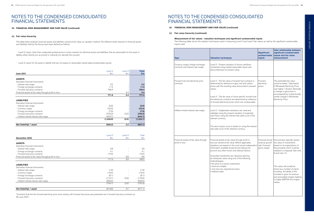### **22. FINANCIAL RISK MANAGEMENT AND FAIR VALUE (continued)**

### **(c) Fair value hierarchy**

The table below analyses financial assets and liabilities carried at fair value, by valuation method. The different levels relevant to financial assets and liabilities held by the Group have been defined as follows:

 - Level 2: inputs, other than unadjusted quoted prices in active markets for identical assets and liabilities, that are observable for the asset or liability, either directly (i.e. as prices) or indirectly (i.e. derived from prices);

- Level 3: inputs for the asset or liability that are not based on observable market data (unobservable inputs).

|                                                       | Level 2   | Level 3 | <b>Total</b> |
|-------------------------------------------------------|-----------|---------|--------------|
| <b>June 2021</b>                                      | €m        | €m      | $\epsilon$ m |
|                                                       |           |         |              |
| <b>ASSETS</b>                                         |           |         |              |
| Derivative financial instruments                      |           |         |              |
| - Interest rate swaps                                 | 0.2       |         | 0.2          |
| - Foreign exchange contracts                          | 11.0      |         | 11.0         |
| - Forward fuel price contracts <sup>1</sup>           | 760.4     |         | 760.4        |
| Financial assets at fair value through profit or loss |           | 5.4     | 5.4          |
|                                                       | 771.6     | 5.4     | 777.0        |
|                                                       |           |         |              |
| <b>LIABILITIES</b>                                    |           |         |              |
| Derivative financial instruments                      |           |         |              |
| - Interest rate swaps                                 | (2.6)     |         | (2.6)        |
| - Currency swaps                                      | (23.4)    |         | (23.4)       |
| - Foreign exchange contracts                          | (7.9)     |         | (7.9)        |
| - Forward fuel price contracts <sup>1</sup>           | (752.3)   | (3.2)   | (755.5)      |
| - Inflation-linked interest rate swaps                | (644.7)   |         | (644.7)      |
|                                                       | (1,430.9) | (3.2)   | (1,434.1)    |
|                                                       |           |         |              |
| Net (liability) / asset                               | (659.3)   | 2.2     | (657.1)      |

|                                                                                                                                                                                                                                                                                                                                                                                                                                                                                                | Level 2 | Level <sub>3</sub> | Total   |
|------------------------------------------------------------------------------------------------------------------------------------------------------------------------------------------------------------------------------------------------------------------------------------------------------------------------------------------------------------------------------------------------------------------------------------------------------------------------------------------------|---------|--------------------|---------|
| December 2020<br><b>ASSETS</b><br>Derivative financial instruments<br>- Interest rate swaps<br>- Foreign exchange contracts<br>- Forward fuel price contracts <sup>1</sup><br>Financial assets at fair value through profit or loss<br><b>LIABILITIES</b><br>Derivative financial instruments<br>- Interest rate swaps<br>- Currency swaps<br>- Foreign exchange contracts<br>- Forward fuel price contracts <sup>1</sup><br>- Inflation-linked interest rate swaps<br>Net (liability) / asset | €m      | €m                 | €m      |
|                                                                                                                                                                                                                                                                                                                                                                                                                                                                                                |         |                    |         |
|                                                                                                                                                                                                                                                                                                                                                                                                                                                                                                |         |                    |         |
|                                                                                                                                                                                                                                                                                                                                                                                                                                                                                                |         |                    |         |
|                                                                                                                                                                                                                                                                                                                                                                                                                                                                                                | 3.8     |                    | 3.8     |
|                                                                                                                                                                                                                                                                                                                                                                                                                                                                                                | 4.1     |                    | 4.1     |
|                                                                                                                                                                                                                                                                                                                                                                                                                                                                                                | 170.0   |                    | 170.0   |
|                                                                                                                                                                                                                                                                                                                                                                                                                                                                                                |         | 8.6                | 8.6     |
|                                                                                                                                                                                                                                                                                                                                                                                                                                                                                                | 177.9   | 8.6                | 186.5   |
|                                                                                                                                                                                                                                                                                                                                                                                                                                                                                                |         |                    |         |
|                                                                                                                                                                                                                                                                                                                                                                                                                                                                                                |         |                    |         |
|                                                                                                                                                                                                                                                                                                                                                                                                                                                                                                |         |                    |         |
|                                                                                                                                                                                                                                                                                                                                                                                                                                                                                                | (1.6)   |                    | (1.6)   |
|                                                                                                                                                                                                                                                                                                                                                                                                                                                                                                | (19.4)  |                    | (19.4)  |
|                                                                                                                                                                                                                                                                                                                                                                                                                                                                                                | (8.1)   |                    | (8.1)   |
|                                                                                                                                                                                                                                                                                                                                                                                                                                                                                                | (173.1) | (2.9)              | (176.0) |
|                                                                                                                                                                                                                                                                                                                                                                                                                                                                                                | (592.5) |                    | (592.5) |
|                                                                                                                                                                                                                                                                                                                                                                                                                                                                                                | (794.7) | (2.9)              | (797.6) |
|                                                                                                                                                                                                                                                                                                                                                                                                                                                                                                | (616.8) | 5.7                | (611.1) |

<sup>1</sup>Contracts that link the forward electricity price more closely with forward fuel prices are presented net in forward fuel price contracts at 30 June 2021.

### NOTES TO THE CONDENSED CONSOLIDATED FINANCIAL STATEMENTS

- **22. FINANCIAL RISK MANAGEMENT AND FAIR VALUE (continued)**
- **(c) Fair value hierarchy (continued)**

**Measurement of fair values - valuation techniques and significant unobservable inputs** The following table shows the valuation techniques used in measuring Level 2 and Level 3 fair values, as well as the significant unobservable inputs used.

| Type                                                                  | <b>Valuation techniques</b>                                                                                                                                                                                                                                                                                                                                                                                                                                                                                     | <b>Significant</b><br>unobservable<br><b>inputs</b>                 | Inter relationship between<br>significant unobservable<br>inputs and fair value<br>measurement                                                                                                                                                                                                                                                                                          |
|-----------------------------------------------------------------------|-----------------------------------------------------------------------------------------------------------------------------------------------------------------------------------------------------------------------------------------------------------------------------------------------------------------------------------------------------------------------------------------------------------------------------------------------------------------------------------------------------------------|---------------------------------------------------------------------|-----------------------------------------------------------------------------------------------------------------------------------------------------------------------------------------------------------------------------------------------------------------------------------------------------------------------------------------------------------------------------------------|
| Currency swaps, foreign exchange<br>contracts and interest rate swaps | Level 2 - Present valuation of future cashflows<br>contracted using market observable inputs and<br>discounted back to present value.                                                                                                                                                                                                                                                                                                                                                                           |                                                                     |                                                                                                                                                                                                                                                                                                                                                                                         |
| Forward fuel and electricity price<br>contracts                       | Level 2 - The fair value of forward fuel contracts is<br>determined by reference to gas, coal and carbon<br>prices with the resulting value discounted to present<br>values.<br>Level 3 - The fair value of some specific forward fuel<br>and electricity contracts are determined by reference<br>to forward electricity prices which are unobservable.                                                                                                                                                        | Forward<br>electricity<br>prices                                    | The estimated fair value<br>would increase / (decrease)<br>if Wholesale Electricity Price<br>was higher / (lower). Generally<br>a change in gas prices is<br>accompanied by a directionally<br>similar change in Wholesale<br>Electricity Price.                                                                                                                                        |
| Inflation-linked interest rate swaps                                  | Level 2 - Independent valuations are used and<br>validated using the present valuation of expected<br>cash flows using the interest rate yield curve of the<br>relevant currency.<br>The zero-coupon curve is based on using the interest<br>rate yield curve of the relevant currency.                                                                                                                                                                                                                         |                                                                     |                                                                                                                                                                                                                                                                                                                                                                                         |
| Financial assets at fair value through<br>profit or loss              | Financial assets at fair value through profit or<br>loss are carried at fair value. Where applicable,<br>valuations are based on the most recent independent<br>information available at period end, taking into<br>account any other known and relevant factors.<br>Unquoted investments are valued by deriving<br>an enterprise value using one of the following<br>methodologies:<br>• the price of a recent investment;<br>• revenue multiple;<br>· cost, less any required provision;<br>· realised value. | Forecast annual<br>revenue growth<br>rate. Forecast<br>gross margin | Novusmodus typically assess<br>the value of investments<br>based on its expectations of<br>the proceeds which could be<br>realised in a disposal. See note<br>9 and note 14.<br>This value will usually be<br>driven by a number of inputs<br>including the ability of the<br>investee to grow its revenue<br>and associated margins leading<br>to higher EBITDA thus higher<br>values. |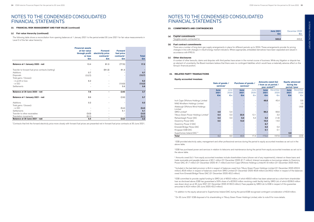The following table shows a reconciliation from opening balances at 1 January 2021 to the period ended 30 June 2021 for fair value measurements in Level 3 of the fair value hierarchy:

|                                                    | <b>Financial assets</b><br>at fair value<br>through profit<br>or loss<br>$\epsilon$ m | <b>Forward</b><br>electricity price<br>contracts <sup>1</sup><br>$\epsilon$ m | <b>Forward</b><br>fuel price<br>contracts <sup>1</sup><br>$\epsilon$ m | <b>Total</b><br>$\epsilon$ m |
|----------------------------------------------------|---------------------------------------------------------------------------------------|-------------------------------------------------------------------------------|------------------------------------------------------------------------|------------------------------|
|                                                    |                                                                                       |                                                                               |                                                                        |                              |
| Balance at 1 January 2020 - net                    | 13.4                                                                                  | 81.3                                                                          | (77.5)                                                                 | 17.2                         |
| Transfer to forward fuel price contracts (netting) |                                                                                       | (81.3)                                                                        | 81.3                                                                   |                              |
| Additions                                          | 0.7                                                                                   |                                                                               |                                                                        | 0.7                          |
| Disposals                                          | (12.7)                                                                                |                                                                               |                                                                        | (12.7)                       |
| Total gains / (losses):                            |                                                                                       |                                                                               |                                                                        |                              |
| - in profit or loss                                | 6.2                                                                                   |                                                                               |                                                                        | 6.2                          |
| - in OCI                                           |                                                                                       |                                                                               | (13.3)                                                                 | (13.3)                       |
| Settlements                                        |                                                                                       |                                                                               | 5.6                                                                    | 5.6                          |
| Balance at 30 June 2020 - net                      | 7.6                                                                                   | ÷                                                                             | (3.9)                                                                  | 3.7                          |
| Balance at 1 January 2021 - net                    | 8.6                                                                                   |                                                                               | (2.9)                                                                  | 5.7                          |
| Additions                                          | 0.2                                                                                   |                                                                               |                                                                        | 0.2                          |
| Total gains / (losses):                            |                                                                                       |                                                                               |                                                                        |                              |
| - in OCI                                           |                                                                                       |                                                                               | (5.4)                                                                  | (5.4)                        |
| Settlements                                        |                                                                                       |                                                                               | 5.1                                                                    | 5.1                          |
| Transfer to other receivables                      | (3.3)                                                                                 |                                                                               |                                                                        | (3.3)                        |
| Translation movements                              | (0.1)                                                                                 | $\overline{\phantom{0}}$                                                      |                                                                        | (0.1)                        |
| Balance at 30 June 2021 - net                      | 5.4                                                                                   | ٠                                                                             | (3.2)                                                                  | 2.2                          |

1 Contracts that link the forward electricity price more closely with forward fuel prices are presented net in forward fuel price contracts at 30 June 2021.

### **22. FINANCIAL RISK MANAGEMENT AND FAIR VALUE (continued)**

<sup>2</sup> ESB has purchased power and services in relation to telecoms and maintenance during the period from equity accounted investees as set out in the above table.

<sup>3</sup> Amounts owed (to) / from equity accounted investees include shareholders loans (shown net of any impairments), interest on these loans and trade receivable and payable balances of €2.1 million (31 December 2020: €1.7 million). Interest receivable on borrowings relates to Oweninny Power DAC, €1.7 million (31 December 2020: €1.7 million) and Inch Cape Offshore Holdings Limited €1.8 million (31 December 2020: €nil).

#### **(c) Fair value hierarchy (continued)**

### NOTES TO THE CONDENSED CONSOLIDATED FINANCIAL STATEMENTS

### **24. RELATED PARTY TRANSACTIONS**

### **Equity accounted investees**

|                                                   | Sale of goods /<br>services <sup>1</sup> |      | <b>Purchase of goods /</b> | $s$ ervices $2$ | <b>Amounts owed (to)</b><br>/ from as at period /<br>year ended <sup>3&amp;4</sup> |          | <b>Equity advanced</b><br>during the | period /year |
|---------------------------------------------------|------------------------------------------|------|----------------------------|-----------------|------------------------------------------------------------------------------------|----------|--------------------------------------|--------------|
|                                                   | <b>June</b>                              | June | <b>June</b>                | June            | <b>June</b>                                                                        | December | <b>June</b>                          | December     |
|                                                   | 2021                                     | 2020 | 2021                       | 2020            | 2021                                                                               | 2020     | 2021                                 | 2020         |
|                                                   | $\epsilon$ m                             | €m   | $\epsilon$ m               | $\epsilon$ m    | $\epsilon$ m                                                                       | €m       | $\epsilon$ m                         | $\epsilon$ m |
| Inch Cape Offshore Holdings Limited               |                                          |      |                            |                 | 49.8                                                                               | 45.4     |                                      | 0.9          |
| NNG Windfarm Holdings Limited                     |                                          |      |                            |                 |                                                                                    |          |                                      | 1.0          |
| Aldeburgh Offshore Wind Holdings<br>Limited       |                                          |      |                            |                 |                                                                                    |          |                                      | (4.8)        |
| SIRO Limited <sup>5</sup>                         | 4.9                                      | 5.4  |                            |                 | 99.2                                                                               | 96.6     |                                      |              |
| Tilbury Green Power Holdings Limited <sup>7</sup> | 0.4                                      | 0.3  | 22.5                       | 12.1            |                                                                                    | 3.2      |                                      |              |
| Raheenleagh Power DAC                             | 0.4                                      | 0.3  | 5.0                        | 5.3             | 0.2                                                                                | (1.9)    |                                      |              |
| Oweninny Power DAC                                | 0.5                                      |      | 13.0                       |                 | 15.0                                                                               | 14.0     |                                      |              |
| Oweninny Power 2 DAC                              |                                          |      |                            |                 | 8.7                                                                                |          |                                      |              |
| Emerald Bridge Fibres DAC                         |                                          |      |                            |                 | 0.2                                                                                | 0.2      |                                      |              |
| Kingspan ESB DAC                                  |                                          |      |                            |                 | 0.1                                                                                | 0.1      |                                      |              |
| Superhomes Ireland DAC <sup>6</sup>               |                                          |      |                            |                 |                                                                                    |          | 0.8                                  |              |
| <b>Total</b>                                      | 6.2                                      | 6.0  | 40.5                       | 17.4            | 173.2                                                                              | 157.6    | 0.8                                  | (2.9)        |

1 ESB provided electricity sales, management and other professional services during the period to equity accounted investees as set out in the above table.

4 Included in the bad debt provision is €nil in respect of balances owed from Tilbury Green Power Holdings Limited (31 December 2020: €52.9 million), €0.8 million in respect of balances owed from SIRO Limited (31 December 2020: €0.8 million) and €0.2 million in respect of the balances owed from Emerald Bridge Fibres DAC (31 December 2020: €0.2 million).

5 ESB committed to provide capital funding to SIRO Ltd. of €93.0 million, of which €93.0 million has been advanced as a short-term shareholder loan as disclosed above. ESB has guaranteed a 50% share of a €230.0 million revolving credit facility held by SIRO Ltd. of which €206.0 million was drawn down as at 30 June 2021 (31 December 2020: €182.0 million). Fees payable by SIRO Ltd. to ESB in respect of this guarantee amounted to €2.4 million (30 June 2020: €2.2 million).

<sup>6</sup> In addition to the equity advanced to Superhomes Ireland DAC during the period ESB recognised contingent consideration of €2.8 million.

7 On 30 June 2021 ESB disposed of its shareholding in Tilbury Green Power Holdings Limited, refer to note 8 for more details.

### **23. COMMITMENTS AND CONTINGENCIES**

| (a) | <b>Capital commitments</b>     |
|-----|--------------------------------|
|     | Tangible assets contracted for |

| COMMITMENTS AND CONTINGENCIES  |                  |               |
|--------------------------------|------------------|---------------|
|                                | <b>June 2021</b> | December 2020 |
|                                | €m               | €r            |
| <b>Capital commitments</b>     |                  |               |
| Tangible assets contracted for | 540.8            | 443.4         |

### **(b) Fuel contract commitments**

There are a number of long-term gas supply arrangements in place for different periods up to 2024. These arrangements provide for pricing changes in line with changes in inbuilt energy market indicators. Where appropriate, embedded derivatives have been separated and valued in accordance with IFRS 9.

#### **(c) Other disclosures**

A number of other lawsuits, claims and disputes with third parties have arisen in the normal course of business. While any litigation or dispute has an element of uncertainty, the Board members believe that there were no contingent liabilities which would have a materially adverse effect on the Group's financial position.